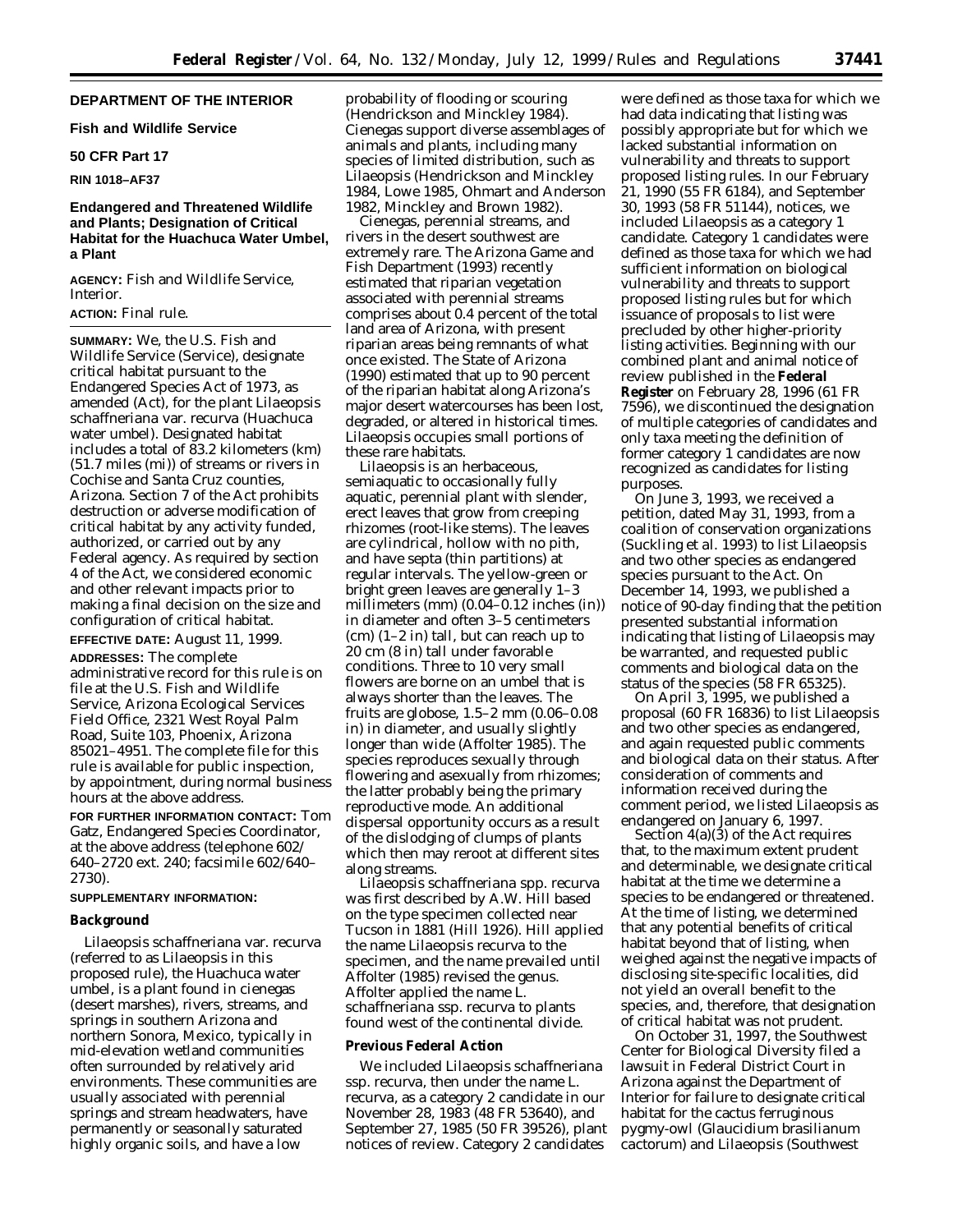# **DEPARTMENT OF THE INTERIOR**

**Fish and Wildlife Service**

### **50 CFR Part 17**

### **RIN 1018–AF37**

# **Endangered and Threatened Wildlife and Plants; Designation of Critical Habitat for the Huachuca Water Umbel, a Plant**

**AGENCY:** Fish and Wildlife Service, Interior.

# **ACTION:** Final rule.

**SUMMARY:** We, the U.S. Fish and Wildlife Service (Service), designate critical habitat pursuant to the Endangered Species Act of 1973, as amended (Act), for the plant *Lilaeopsis schaffneriana* var. *recurva* (Huachuca water umbel). Designated habitat includes a total of 83.2 kilometers (km) (51.7 miles (mi)) of streams or rivers in Cochise and Santa Cruz counties, Arizona. Section 7 of the Act prohibits destruction or adverse modification of critical habitat by any activity funded, authorized, or carried out by any Federal agency. As required by section 4 of the Act, we considered economic and other relevant impacts prior to making a final decision on the size and configuration of critical habitat. **EFFECTIVE DATE:** August 11, 1999.

**ADDRESSES:** The complete administrative record for this rule is on file at the U.S. Fish and Wildlife Service, Arizona Ecological Services Field Office, 2321 West Royal Palm Road, Suite 103, Phoenix, Arizona 85021–4951. The complete file for this rule is available for public inspection, by appointment, during normal business hours at the above address.

**FOR FURTHER INFORMATION CONTACT:** Tom Gatz, Endangered Species Coordinator, at the above address (telephone 602/ 640–2720 ext. 240; facsimile 602/640– 2730).

#### **SUPPLEMENTARY INFORMATION:**

### **Background**

*Lilaeopsis schaffneriana* var. *recurva* (referred to as *Lilaeopsis* in this proposed rule), the Huachuca water umbel, is a plant found in cienegas (desert marshes), rivers, streams, and springs in southern Arizona and northern Sonora, Mexico, typically in mid-elevation wetland communities often surrounded by relatively arid environments. These communities are usually associated with perennial springs and stream headwaters, have permanently or seasonally saturated highly organic soils, and have a low

probability of flooding or scouring (Hendrickson and Minckley 1984). Cienegas support diverse assemblages of animals and plants, including many species of limited distribution, such as *Lilaeopsis* (Hendrickson and Minckley 1984, Lowe 1985, Ohmart and Anderson 1982, Minckley and Brown 1982).

Cienegas, perennial streams, and rivers in the desert southwest are extremely rare. The Arizona Game and Fish Department (1993) recently estimated that riparian vegetation associated with perennial streams comprises about 0.4 percent of the total land area of Arizona, with present riparian areas being remnants of what once existed. The State of Arizona (1990) estimated that up to 90 percent of the riparian habitat along Arizona's major desert watercourses has been lost, degraded, or altered in historical times. *Lilaeopsis* occupies small portions of these rare habitats.

*Lilaeopsis* is an herbaceous, semiaquatic to occasionally fully aquatic, perennial plant with slender, erect leaves that grow from creeping rhizomes (root-like stems). The leaves are cylindrical, hollow with no pith, and have septa (thin partitions) at regular intervals. The yellow-green or bright green leaves are generally 1–3 millimeters (mm) (0.04–0.12 inches (in)) in diameter and often 3–5 centimeters (cm) (1–2 in) tall, but can reach up to 20 cm (8 in) tall under favorable conditions. Three to 10 very small flowers are borne on an umbel that is always shorter than the leaves. The fruits are globose, 1.5–2 mm (0.06–0.08 in) in diameter, and usually slightly longer than wide (Affolter 1985). The species reproduces sexually through flowering and asexually from rhizomes; the latter probably being the primary reproductive mode. An additional dispersal opportunity occurs as a result of the dislodging of clumps of plants which then may reroot at different sites along streams.

*Lilaeopsis schaffneriana* spp. *recurva* was first described by A.W. Hill based on the type specimen collected near Tucson in 1881 (Hill 1926). Hill applied the name *Lilaeopsis recurva* to the specimen, and the name prevailed until Affolter (1985) revised the genus. Affolter applied the name *L. schaffneriana* ssp. *recurva* to plants found west of the continental divide.

#### **Previous Federal Action**

We included *Lilaeopsis schaffneriana* ssp. *recurva,* then under the name *L. recurva,* as a category 2 candidate in our November 28, 1983 (48 FR 53640), and September 27, 1985 (50 FR 39526), plant notices of review. Category 2 candidates

were defined as those taxa for which we had data indicating that listing was possibly appropriate but for which we lacked substantial information on vulnerability and threats to support proposed listing rules. In our February 21, 1990 (55 FR 6184), and September 30, 1993 (58 FR 51144), notices, we included *Lilaeopsis* as a category 1 candidate. Category 1 candidates were defined as those taxa for which we had sufficient information on biological vulnerability and threats to support proposed listing rules but for which issuance of proposals to list were precluded by other higher-priority listing activities. Beginning with our combined plant and animal notice of review published in the **Federal Register** on February 28, 1996 (61 FR 7596), we discontinued the designation of multiple categories of candidates and only taxa meeting the definition of former category 1 candidates are now recognized as candidates for listing purposes.

On June 3, 1993, we received a petition, dated May 31, 1993, from a coalition of conservation organizations (Suckling *et al.* 1993) to list *Lilaeopsis* and two other species as endangered species pursuant to the Act. On December 14, 1993, we published a notice of 90-day finding that the petition presented substantial information indicating that listing of *Lilaeopsis* may be warranted, and requested public comments and biological data on the status of the species (58 FR 65325).

On April 3, 1995, we published a proposal (60 FR 16836) to list *Lilaeopsis* and two other species as endangered, and again requested public comments and biological data on their status. After consideration of comments and information received during the comment period, we listed *Lilaeopsis* as endangered on January 6, 1997.

Section 4(a)(3) of the Act requires that, to the maximum extent prudent and determinable, we designate critical habitat at the time we determine a species to be endangered or threatened. At the time of listing, we determined that any potential benefits of critical habitat beyond that of listing, when weighed against the negative impacts of disclosing site-specific localities, did not yield an overall benefit to the species, and, therefore, that designation of critical habitat was not prudent.

On October 31, 1997, the Southwest Center for Biological Diversity filed a lawsuit in Federal District Court in Arizona against the Department of Interior for failure to designate critical habitat for the cactus ferruginous pygmy-owl (*Glaucidium brasilianum cactorum*) and *Lilaeopsis (Southwest*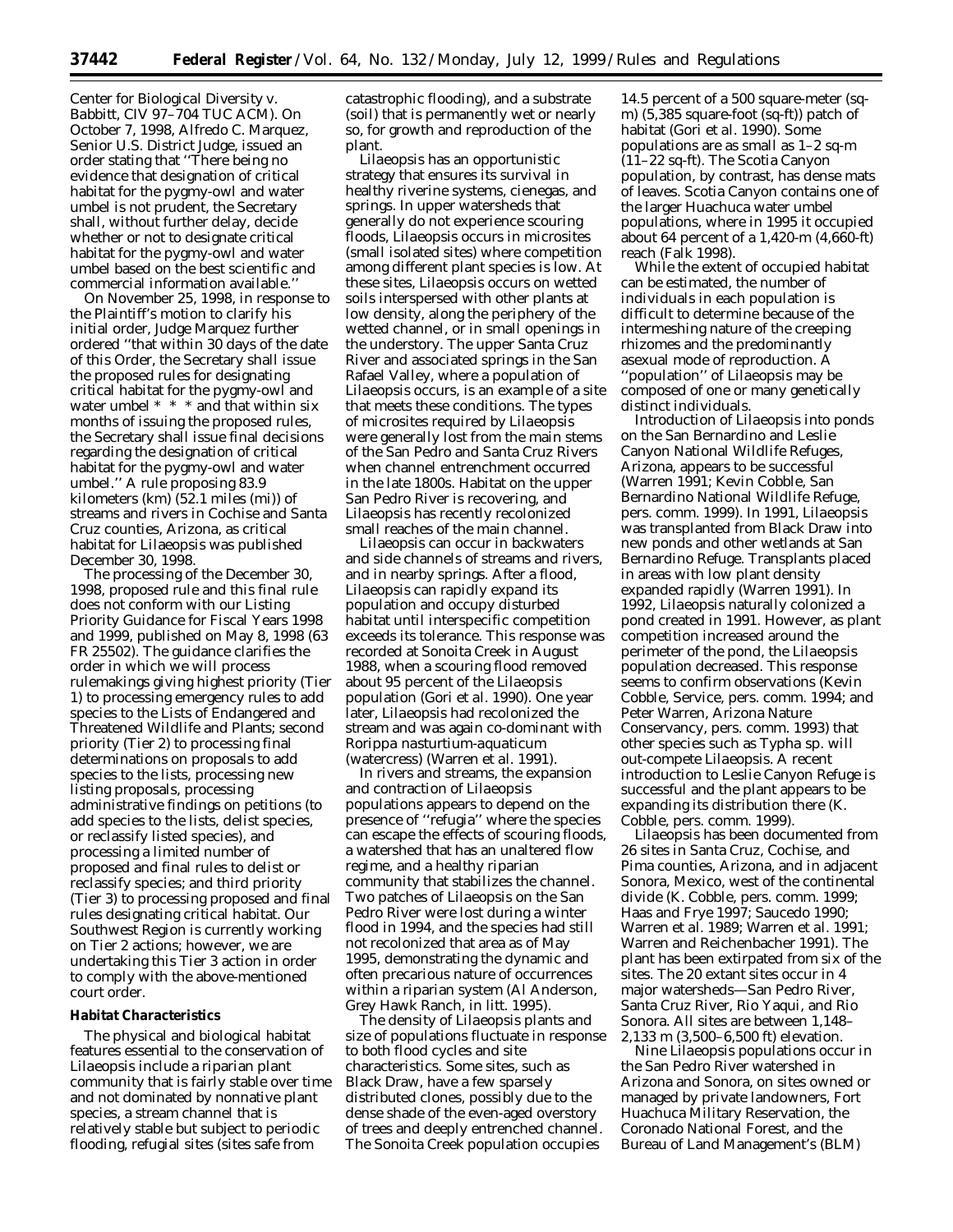*Center for Biological Diversity* v. *Babbitt,* CIV 97–704 TUC ACM). On October 7, 1998, Alfredo C. Marquez, Senior U.S. District Judge, issued an order stating that "There being no evidence that designation of critical habitat for the pygmy-owl and water umbel is not prudent, the Secretary shall, without further delay, decide whether or not to designate critical habitat for the pygmy-owl and water umbel based on the best scientific and commercial information available.''

On November 25, 1998, in response to the Plaintiff's motion to clarify his initial order, Judge Marquez further ordered ''that within 30 days of the date of this Order, the Secretary shall issue the proposed rules for designating critical habitat for the pygmy-owl and water umbel \* \* \* and that within six months of issuing the proposed rules, the Secretary shall issue final decisions regarding the designation of critical habitat for the pygmy-owl and water umbel.'' A rule proposing 83.9 kilometers (km) (52.1 miles (mi)) of streams and rivers in Cochise and Santa Cruz counties, Arizona, as critical habitat for Lilaeopsis was published December 30, 1998.

The processing of the December 30, 1998, proposed rule and this final rule does not conform with our Listing Priority Guidance for Fiscal Years 1998 and 1999, published on May 8, 1998 (63 FR 25502). The guidance clarifies the order in which we will process rulemakings giving highest priority (Tier 1) to processing emergency rules to add species to the Lists of Endangered and Threatened Wildlife and Plants; second priority (Tier 2) to processing final determinations on proposals to add species to the lists, processing new listing proposals, processing administrative findings on petitions (to add species to the lists, delist species, or reclassify listed species), and processing a limited number of proposed and final rules to delist or reclassify species; and third priority (Tier 3) to processing proposed and final rules designating critical habitat. Our Southwest Region is currently working on Tier 2 actions; however, we are undertaking this Tier 3 action in order to comply with the above-mentioned court order.

### **Habitat Characteristics**

The physical and biological habitat features essential to the conservation of *Lilaeopsis* include a riparian plant community that is fairly stable over time and not dominated by nonnative plant species, a stream channel that is relatively stable but subject to periodic flooding, refugial sites (sites safe from

catastrophic flooding), and a substrate (soil) that is permanently wet or nearly so, for growth and reproduction of the plant.

*Lilaeopsis* has an opportunistic strategy that ensures its survival in healthy riverine systems, cienegas, and springs. In upper watersheds that generally do not experience scouring floods, *Lilaeopsis* occurs in microsites (small isolated sites) where competition among different plant species is low. At these sites, *Lilaeopsis* occurs on wetted soils interspersed with other plants at low density, along the periphery of the wetted channel, or in small openings in the understory. The upper Santa Cruz River and associated springs in the San Rafael Valley, where a population of *Lilaeopsis* occurs, is an example of a site that meets these conditions. The types of microsites required by *Lilaeopsis* were generally lost from the main stems of the San Pedro and Santa Cruz Rivers when channel entrenchment occurred in the late 1800s. Habitat on the upper San Pedro River is recovering, and *Lilaeopsis* has recently recolonized small reaches of the main channel.

Lilaeopsis can occur in backwaters and side channels of streams and rivers, and in nearby springs. After a flood, *Lilaeopsis* can rapidly expand its population and occupy disturbed habitat until interspecific competition exceeds its tolerance. This response was recorded at Sonoita Creek in August 1988, when a scouring flood removed about 95 percent of the *Lilaeopsis* population (Gori *et al.* 1990). One year later, *Lilaeopsis* had recolonized the stream and was again co-dominant with *Rorippa nasturtium-aquaticum* (watercress) (Warren *et al.* 1991).

In rivers and streams, the expansion and contraction of *Lilaeopsis* populations appears to depend on the presence of ''refugia'' where the species can escape the effects of scouring floods, a watershed that has an unaltered flow regime, and a healthy riparian community that stabilizes the channel. Two patches of *Lilaeopsis* on the San Pedro River were lost during a winter flood in 1994, and the species had still not recolonized that area as of May 1995, demonstrating the dynamic and often precarious nature of occurrences within a riparian system (Al Anderson, Grey Hawk Ranch, *in litt.* 1995).

The density of *Lilaeopsis* plants and size of populations fluctuate in response to both flood cycles and site characteristics. Some sites, such as Black Draw, have a few sparsely distributed clones, possibly due to the dense shade of the even-aged overstory of trees and deeply entrenched channel. The Sonoita Creek population occupies

14.5 percent of a 500 square-meter (sqm) (5,385 square-foot (sq-ft)) patch of habitat (Gori *et al.* 1990). Some populations are as small as 1–2 sq-m (11–22 sq-ft). The Scotia Canyon population, by contrast, has dense mats of leaves. Scotia Canyon contains one of the larger Huachuca water umbel populations, where in 1995 it occupied about 64 percent of a 1,420-m (4,660-ft) reach (Falk 1998).

While the extent of occupied habitat can be estimated, the number of individuals in each population is difficult to determine because of the intermeshing nature of the creeping rhizomes and the predominantly asexual mode of reproduction. A ''population'' of *Lilaeopsis* may be composed of one or many genetically distinct individuals.

Introduction of *Lilaeopsis* into ponds on the San Bernardino and Leslie Canyon National Wildlife Refuges, Arizona, appears to be successful (Warren 1991; Kevin Cobble, San Bernardino National Wildlife Refuge, pers. comm. 1999). In 1991, *Lilaeopsis* was transplanted from Black Draw into new ponds and other wetlands at San Bernardino Refuge. Transplants placed in areas with low plant density expanded rapidly (Warren 1991). In 1992, *Lilaeopsis* naturally colonized a pond created in 1991. However, as plant competition increased around the perimeter of the pond, the *Lilaeopsis* population decreased. This response seems to confirm observations (Kevin Cobble, Service, pers. comm. 1994; and Peter Warren, Arizona Nature Conservancy, pers. comm. 1993) that other species such as *Typha* sp. will out-compete *Lilaeopsis*. A recent introduction to Leslie Canyon Refuge is successful and the plant appears to be expanding its distribution there (K. Cobble, pers. comm. 1999).

*Lilaeopsis* has been documented from 26 sites in Santa Cruz, Cochise, and Pima counties, Arizona, and in adjacent Sonora, Mexico, west of the continental divide (K. Cobble, pers. comm. 1999; Haas and Frye 1997; Saucedo 1990; Warren *et al.* 1989; Warren *et al.* 1991; Warren and Reichenbacher 1991). The plant has been extirpated from six of the sites. The 20 extant sites occur in 4 major watersheds—San Pedro River, Santa Cruz River, Rio Yaqui, and Rio Sonora. All sites are between 1,148– 2,133 m (3,500–6,500 ft) elevation.

Nine *Lilaeopsis* populations occur in the San Pedro River watershed in Arizona and Sonora, on sites owned or managed by private landowners, Fort Huachuca Military Reservation, the Coronado National Forest, and the Bureau of Land Management's (BLM)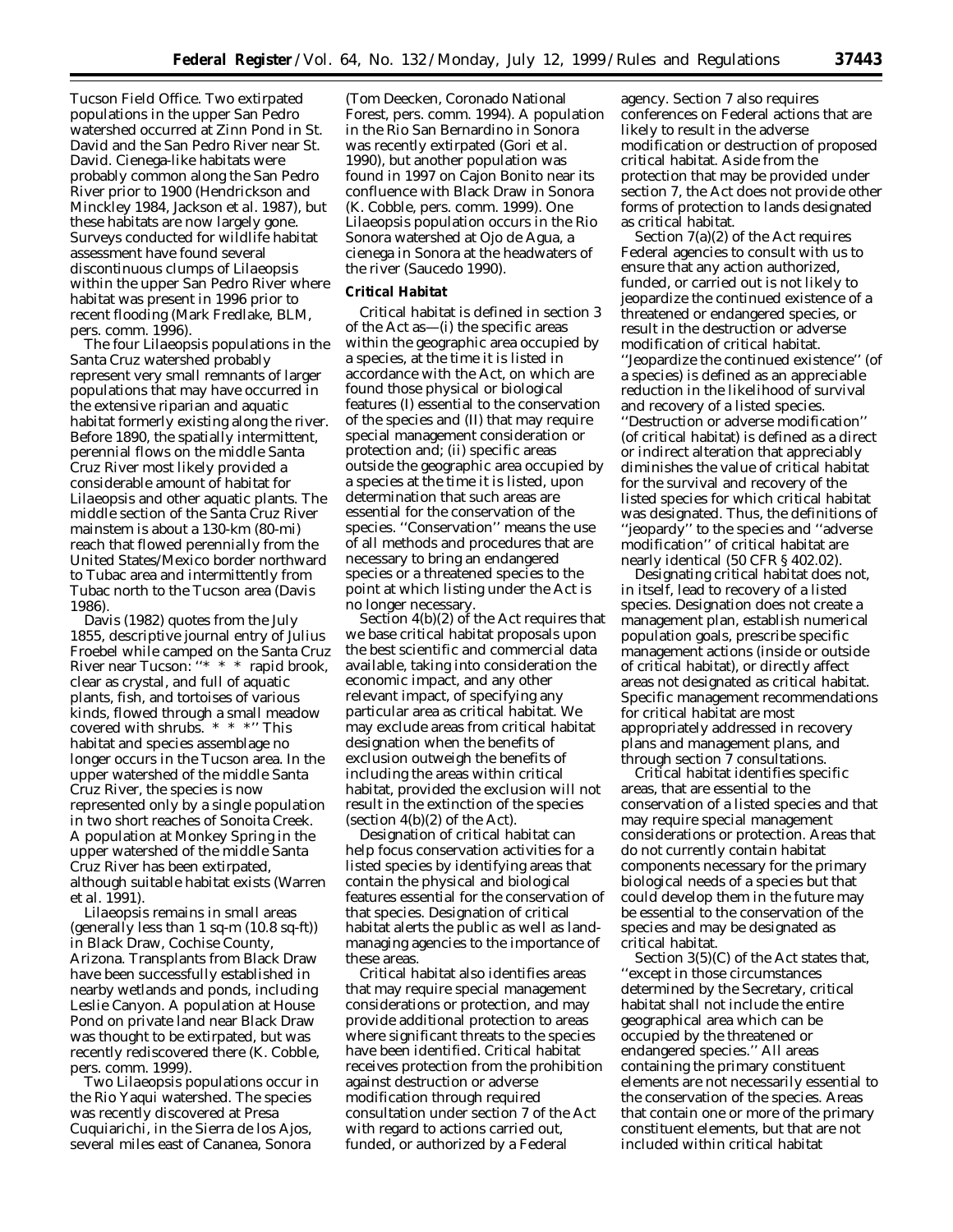Tucson Field Office. Two extirpated populations in the upper San Pedro watershed occurred at Zinn Pond in St. David and the San Pedro River near St. David. Cienega-like habitats were probably common along the San Pedro River prior to 1900 (Hendrickson and Minckley 1984, Jackson *et al.* 1987), but these habitats are now largely gone. Surveys conducted for wildlife habitat assessment have found several discontinuous clumps of *Lilaeopsis* within the upper San Pedro River where habitat was present in 1996 prior to recent flooding (Mark Fredlake, BLM, pers. comm. 1996).

The four *Lilaeopsis* populations in the Santa Cruz watershed probably represent very small remnants of larger populations that may have occurred in the extensive riparian and aquatic habitat formerly existing along the river. Before 1890, the spatially intermittent, perennial flows on the middle Santa Cruz River most likely provided a considerable amount of habitat for *Lilaeopsis* and other aquatic plants. The middle section of the Santa Cruz River mainstem is about a 130-km (80-mi) reach that flowed perennially from the United States/Mexico border northward to Tubac area and intermittently from Tubac north to the Tucson area (Davis 1986).

Davis (1982) quotes from the July 1855, descriptive journal entry of Julius Froebel while camped on the Santa Cruz River near Tucson: ''\* \* \* rapid brook, clear as crystal, and full of aquatic plants, fish, and tortoises of various kinds, flowed through a small meadow covered with shrubs. \* \* \*'' This habitat and species assemblage no longer occurs in the Tucson area. In the upper watershed of the middle Santa Cruz River, the species is now represented only by a single population in two short reaches of Sonoita Creek. A population at Monkey Spring in the upper watershed of the middle Santa Cruz River has been extirpated, although suitable habitat exists (Warren *et al.* 1991).

*Lilaeopsis* remains in small areas (generally less than 1 sq-m (10.8 sq-ft)) in Black Draw, Cochise County, Arizona. Transplants from Black Draw have been successfully established in nearby wetlands and ponds, including Leslie Canyon. A population at House Pond on private land near Black Draw was thought to be extirpated, but was recently rediscovered there (K. Cobble, pers. comm. 1999).

Two *Lilaeopsis* populations occur in the Rio Yaqui watershed. The species was recently discovered at Presa Cuquiarichi, in the Sierra de los Ajos, several miles east of Cananea, Sonora

(Tom Deecken, Coronado National Forest, pers. comm. 1994). A population in the Rio San Bernardino in Sonora was recently extirpated (Gori *et al.* 1990), but another population was found in 1997 on Cajon Bonito near its confluence with Black Draw in Sonora (K. Cobble, pers. comm. 1999). One *Lilaeopsis* population occurs in the Rio Sonora watershed at Ojo de Agua, a cienega in Sonora at the headwaters of the river (Saucedo 1990).

### **Critical Habitat**

Critical habitat is defined in section 3 of the Act as—(i) the specific areas within the geographic area occupied by a species, at the time it is listed in accordance with the Act, on which are found those physical or biological features (I) essential to the conservation of the species and (II) that may require special management consideration or protection and; (ii) specific areas outside the geographic area occupied by a species at the time it is listed, upon determination that such areas are essential for the conservation of the species. ''Conservation'' means the use of all methods and procedures that are necessary to bring an endangered species or a threatened species to the point at which listing under the Act is no longer necessary.

Section 4(b)(2) of the Act requires that we base critical habitat proposals upon the best scientific and commercial data available, taking into consideration the economic impact, and any other relevant impact, of specifying any particular area as critical habitat. We may exclude areas from critical habitat designation when the benefits of exclusion outweigh the benefits of including the areas within critical habitat, provided the exclusion will not result in the extinction of the species (section  $4(b)(2)$  of the Act).

Designation of critical habitat can help focus conservation activities for a listed species by identifying areas that contain the physical and biological features essential for the conservation of that species. Designation of critical habitat alerts the public as well as landmanaging agencies to the importance of these areas.

Critical habitat also identifies areas that may require special management considerations or protection, and may provide additional protection to areas where significant threats to the species have been identified. Critical habitat receives protection from the prohibition against destruction or adverse modification through required consultation under section 7 of the Act with regard to actions carried out, funded, or authorized by a Federal

agency. Section 7 also requires conferences on Federal actions that are likely to result in the adverse modification or destruction of proposed critical habitat. Aside from the protection that may be provided under section 7, the Act does not provide other forms of protection to lands designated as critical habitat.

Section 7(a)(2) of the Act requires Federal agencies to consult with us to ensure that any action authorized, funded, or carried out is not likely to jeopardize the continued existence of a threatened or endangered species, or result in the destruction or adverse modification of critical habitat. ''Jeopardize the continued existence'' (of a species) is defined as an appreciable reduction in the likelihood of survival and recovery of a listed species. ''Destruction or adverse modification'' (of critical habitat) is defined as a direct or indirect alteration that appreciably diminishes the value of critical habitat for the survival and recovery of the listed species for which critical habitat was designated. Thus, the definitions of ''jeopardy'' to the species and ''adverse modification'' of critical habitat are nearly identical (50 CFR § 402.02).

Designating critical habitat does not, in itself, lead to recovery of a listed species. Designation does not create a management plan, establish numerical population goals, prescribe specific management actions (inside or outside of critical habitat), or directly affect areas not designated as critical habitat. Specific management recommendations for critical habitat are most appropriately addressed in recovery plans and management plans, and through section 7 consultations.

Critical habitat identifies specific areas, that are essential to the conservation of a listed species and that may require special management considerations or protection. Areas that do not currently contain habitat components necessary for the primary biological needs of a species but that could develop them in the future may be essential to the conservation of the species and may be designated as critical habitat.

Section 3(5)(C) of the Act states that, ''except in those circumstances determined by the Secretary, critical habitat shall not include the entire geographical area which can be occupied by the threatened or endangered species.'' All areas containing the primary constituent elements are not necessarily essential to the conservation of the species. Areas that contain one or more of the primary constituent elements, but that are not included within critical habitat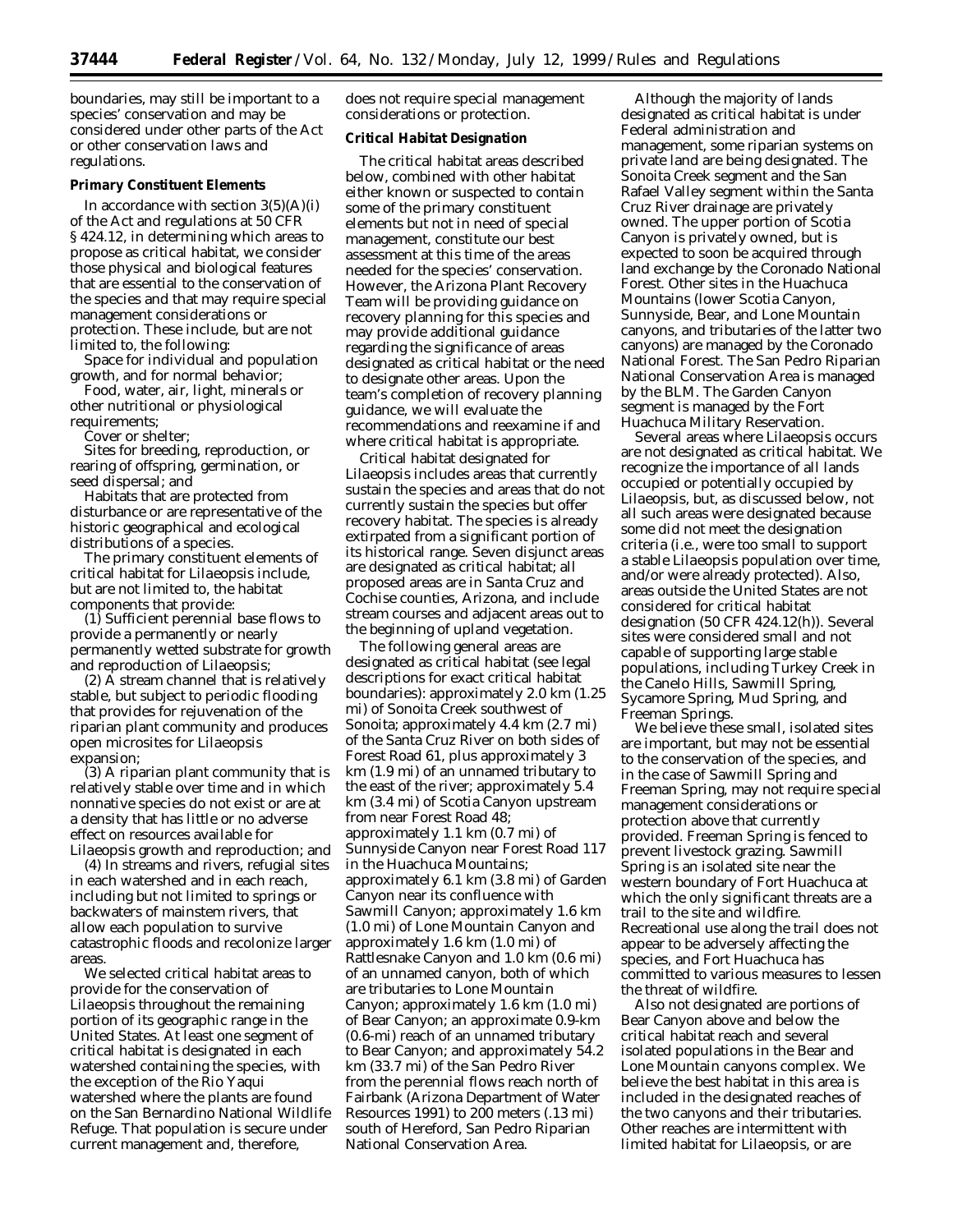boundaries, may still be important to a species' conservation and may be considered under other parts of the Act or other conservation laws and regulations.

#### **Primary Constituent Elements**

In accordance with section  $3(5)(A)(i)$ of the Act and regulations at 50 CFR § 424.12, in determining which areas to propose as critical habitat, we consider those physical and biological features that are essential to the conservation of the species and that may require special management considerations or protection. These include, but are not limited to, the following:

Space for individual and population growth, and for normal behavior;

Food, water, air, light, minerals or other nutritional or physiological

requirements; Cover or shelter;

Sites for breeding, reproduction, or rearing of offspring, germination, or seed dispersal; and

Habitats that are protected from disturbance or are representative of the historic geographical and ecological distributions of a species.

The primary constituent elements of critical habitat for *Lilaeopsis* include, but are not limited to, the habitat components that provide:

(1) Sufficient perennial base flows to provide a permanently or nearly permanently wetted substrate for growth and reproduction of *Lilaeopsis;*

(2) A stream channel that is relatively stable, but subject to periodic flooding that provides for rejuvenation of the riparian plant community and produces open microsites for *Lilaeopsis* expansion;

(3) A riparian plant community that is relatively stable over time and in which nonnative species do not exist or are at a density that has little or no adverse effect on resources available for *Lilaeopsis* growth and reproduction; and

(4) In streams and rivers, refugial sites in each watershed and in each reach, including but not limited to springs or backwaters of mainstem rivers, that allow each population to survive catastrophic floods and recolonize larger areas.

We selected critical habitat areas to provide for the conservation of *Lilaeopsis* throughout the remaining portion of its geographic range in the United States. At least one segment of critical habitat is designated in each watershed containing the species, with the exception of the Rio Yaqui watershed where the plants are found on the San Bernardino National Wildlife Refuge. That population is secure under current management and, therefore,

does not require special management considerations or protection.

### **Critical Habitat Designation**

The critical habitat areas described below, combined with other habitat either known or suspected to contain some of the primary constituent elements but not in need of special management, constitute our best assessment at this time of the areas needed for the species' conservation. However, the Arizona Plant Recovery Team will be providing guidance on recovery planning for this species and may provide additional guidance regarding the significance of areas designated as critical habitat or the need to designate other areas. Upon the team's completion of recovery planning guidance, we will evaluate the recommendations and reexamine if and where critical habitat is appropriate.

Critical habitat designated for *Lilaeopsis* includes areas that currently sustain the species and areas that do not currently sustain the species but offer recovery habitat. The species is already extirpated from a significant portion of its historical range. Seven disjunct areas are designated as critical habitat; all proposed areas are in Santa Cruz and Cochise counties, Arizona, and include stream courses and adjacent areas out to the beginning of upland vegetation.

The following general areas are designated as critical habitat (see legal descriptions for exact critical habitat boundaries): approximately 2.0 km (1.25 mi) of Sonoita Creek southwest of Sonoita; approximately 4.4 km (2.7 mi) of the Santa Cruz River on both sides of Forest Road 61, plus approximately 3 km (1.9 mi) of an unnamed tributary to the east of the river; approximately 5.4 km (3.4 mi) of Scotia Canyon upstream from near Forest Road 48; approximately 1.1 km (0.7 mi) of Sunnyside Canyon near Forest Road 117 in the Huachuca Mountains; approximately 6.1 km (3.8 mi) of Garden Canyon near its confluence with Sawmill Canyon; approximately 1.6 km (1.0 mi) of Lone Mountain Canyon and approximately 1.6 km (1.0 mi) of Rattlesnake Canyon and 1.0 km (0.6 mi) of an unnamed canyon, both of which are tributaries to Lone Mountain Canyon; approximately 1.6 km (1.0 mi) of Bear Canyon; an approximate 0.9-km (0.6-mi) reach of an unnamed tributary to Bear Canyon; and approximately 54.2 km (33.7 mi) of the San Pedro River from the perennial flows reach north of Fairbank (Arizona Department of Water Resources 1991) to 200 meters (.13 mi) south of Hereford, San Pedro Riparian National Conservation Area.

Although the majority of lands designated as critical habitat is under Federal administration and management, some riparian systems on private land are being designated. The Sonoita Creek segment and the San Rafael Valley segment within the Santa Cruz River drainage are privately owned. The upper portion of Scotia Canyon is privately owned, but is expected to soon be acquired through land exchange by the Coronado National Forest. Other sites in the Huachuca Mountains (lower Scotia Canyon, Sunnyside, Bear, and Lone Mountain canyons, and tributaries of the latter two canyons) are managed by the Coronado National Forest. The San Pedro Riparian National Conservation Area is managed by the BLM. The Garden Canyon segment is managed by the Fort Huachuca Military Reservation.

Several areas where *Lilaeopsis* occurs are not designated as critical habitat. We recognize the importance of all lands occupied or potentially occupied by *Lilaeopsis,* but, as discussed below, not all such areas were designated because some did not meet the designation criteria (i.e., were too small to support a stable *Lilaeopsis* population over time, and/or were already protected). Also, areas outside the United States are not considered for critical habitat designation (50 CFR 424.12(h)). Several sites were considered small and not capable of supporting large stable populations, including Turkey Creek in the Canelo Hills, Sawmill Spring, Sycamore Spring, Mud Spring, and Freeman Springs.

We believe these small, isolated sites are important, but may not be essential to the conservation of the species, and in the case of Sawmill Spring and Freeman Spring, may not require special management considerations or protection above that currently provided. Freeman Spring is fenced to prevent livestock grazing. Sawmill Spring is an isolated site near the western boundary of Fort Huachuca at which the only significant threats are a trail to the site and wildfire. Recreational use along the trail does not appear to be adversely affecting the species, and Fort Huachuca has committed to various measures to lessen the threat of wildfire.

Also not designated are portions of Bear Canyon above and below the critical habitat reach and several isolated populations in the Bear and Lone Mountain canyons complex. We believe the best habitat in this area is included in the designated reaches of the two canyons and their tributaries. Other reaches are intermittent with limited habitat for *Lilaeopsis*, or are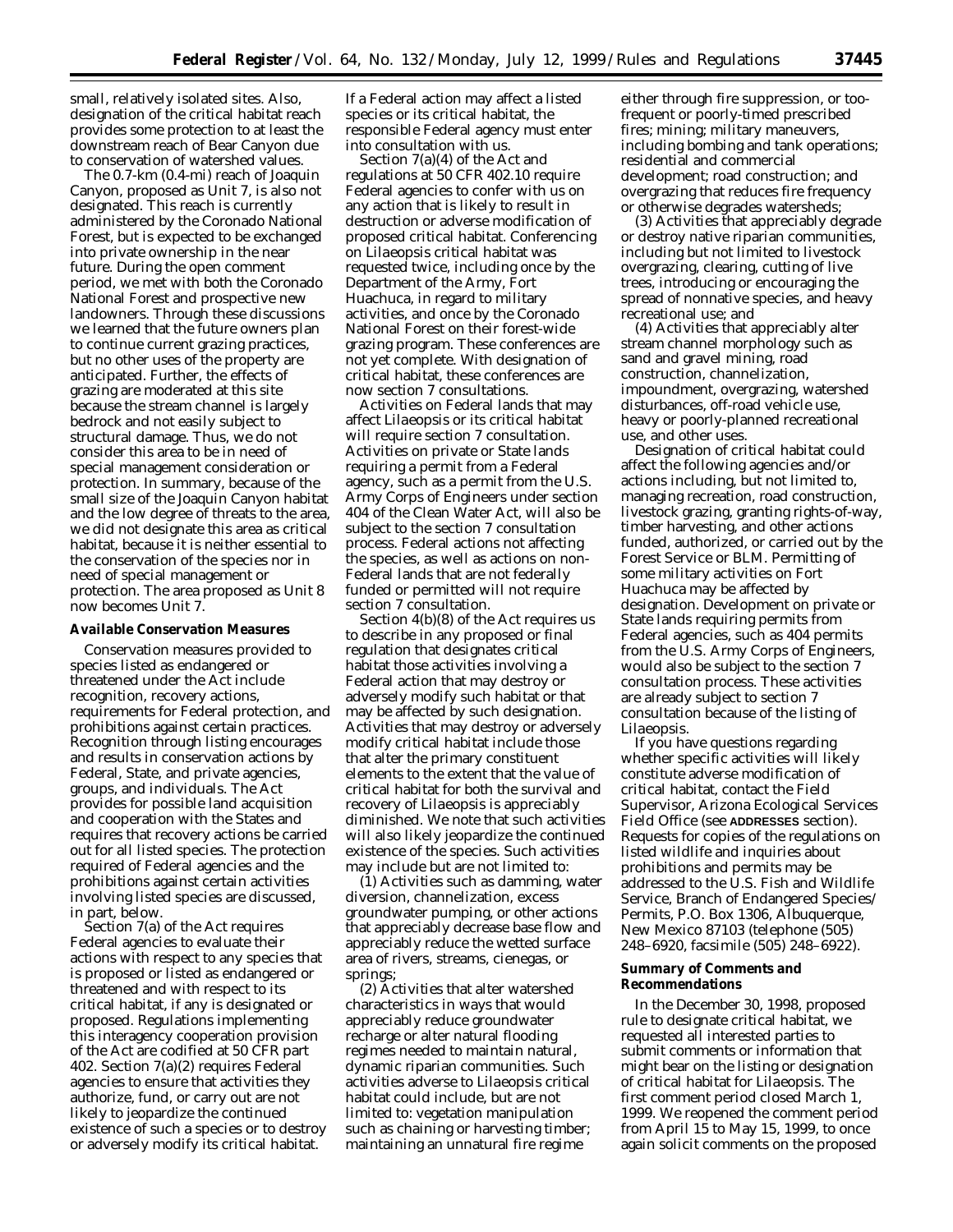small, relatively isolated sites. Also, designation of the critical habitat reach provides some protection to at least the downstream reach of Bear Canyon due to conservation of watershed values.

The 0.7-km (0.4-mi) reach of Joaquin Canyon, proposed as Unit 7, is also not designated. This reach is currently administered by the Coronado National Forest, but is expected to be exchanged into private ownership in the near future. During the open comment period, we met with both the Coronado National Forest and prospective new landowners. Through these discussions we learned that the future owners plan to continue current grazing practices, but no other uses of the property are anticipated. Further, the effects of grazing are moderated at this site because the stream channel is largely bedrock and not easily subject to structural damage. Thus, we do not consider this area to be in need of special management consideration or protection. In summary, because of the small size of the Joaquin Canyon habitat and the low degree of threats to the area, we did not designate this area as critical habitat, because it is neither essential to the conservation of the species nor in need of special management or protection. The area proposed as Unit 8 now becomes Unit 7.

#### **Available Conservation Measures**

Conservation measures provided to species listed as endangered or threatened under the Act include recognition, recovery actions, requirements for Federal protection, and prohibitions against certain practices. Recognition through listing encourages and results in conservation actions by Federal, State, and private agencies, groups, and individuals. The Act provides for possible land acquisition and cooperation with the States and requires that recovery actions be carried out for all listed species. The protection required of Federal agencies and the prohibitions against certain activities involving listed species are discussed, in part, below.

Section 7(a) of the Act requires Federal agencies to evaluate their actions with respect to any species that is proposed or listed as endangered or threatened and with respect to its critical habitat, if any is designated or proposed. Regulations implementing this interagency cooperation provision of the Act are codified at 50 CFR part 402. Section 7(a)(2) requires Federal agencies to ensure that activities they authorize, fund, or carry out are not likely to jeopardize the continued existence of such a species or to destroy or adversely modify its critical habitat.

If a Federal action may affect a listed species or its critical habitat, the responsible Federal agency must enter into consultation with us.

Section 7(a)(4) of the Act and regulations at 50 CFR 402.10 require Federal agencies to confer with us on any action that is likely to result in destruction or adverse modification of proposed critical habitat. Conferencing on *Lilaeopsis* critical habitat was requested twice, including once by the Department of the Army, Fort Huachuca, in regard to military activities, and once by the Coronado National Forest on their forest-wide grazing program. These conferences are not yet complete. With designation of critical habitat, these conferences are now section 7 consultations.

Activities on Federal lands that may affect *Lilaeopsis* or its critical habitat will require section 7 consultation. Activities on private or State lands requiring a permit from a Federal agency, such as a permit from the U.S. Army Corps of Engineers under section 404 of the Clean Water Act, will also be subject to the section 7 consultation process. Federal actions not affecting the species, as well as actions on non-Federal lands that are not federally funded or permitted will not require section 7 consultation.

Section 4(b)(8) of the Act requires us to describe in any proposed or final regulation that designates critical habitat those activities involving a Federal action that may destroy or adversely modify such habitat or that may be affected by such designation. Activities that may destroy or adversely modify critical habitat include those that alter the primary constituent elements to the extent that the value of critical habitat for both the survival and recovery of *Lilaeopsis* is appreciably diminished. We note that such activities will also likely jeopardize the continued existence of the species. Such activities may include but are not limited to:

(1) Activities such as damming, water diversion, channelization, excess groundwater pumping, or other actions that appreciably decrease base flow and appreciably reduce the wetted surface area of rivers, streams, cienegas, or springs;

(2) Activities that alter watershed characteristics in ways that would appreciably reduce groundwater recharge or alter natural flooding regimes needed to maintain natural, dynamic riparian communities. Such activities adverse to *Lilaeopsis* critical habitat could include, but are not limited to: vegetation manipulation such as chaining or harvesting timber; maintaining an unnatural fire regime

either through fire suppression, or toofrequent or poorly-timed prescribed fires; mining; military maneuvers, including bombing and tank operations; residential and commercial development; road construction; and overgrazing that reduces fire frequency or otherwise degrades watersheds;

(3) Activities that appreciably degrade or destroy native riparian communities, including but not limited to livestock overgrazing, clearing, cutting of live trees, introducing or encouraging the spread of nonnative species, and heavy recreational use; and

(4) Activities that appreciably alter stream channel morphology such as sand and gravel mining, road construction, channelization, impoundment, overgrazing, watershed disturbances, off-road vehicle use, heavy or poorly-planned recreational use, and other uses.

Designation of critical habitat could affect the following agencies and/or actions including, but not limited to, managing recreation, road construction, livestock grazing, granting rights-of-way, timber harvesting, and other actions funded, authorized, or carried out by the Forest Service or BLM. Permitting of some military activities on Fort Huachuca may be affected by designation. Development on private or State lands requiring permits from Federal agencies, such as 404 permits from the U.S. Army Corps of Engineers, would also be subject to the section 7 consultation process. These activities are already subject to section 7 consultation because of the listing of *Lilaeopsis*.

If you have questions regarding whether specific activities will likely constitute adverse modification of critical habitat, contact the Field Supervisor, Arizona Ecological Services Field Office (see **ADDRESSES** section). Requests for copies of the regulations on listed wildlife and inquiries about prohibitions and permits may be addressed to the U.S. Fish and Wildlife Service, Branch of Endangered Species/ Permits, P.O. Box 1306, Albuquerque, New Mexico 87103 (telephone (505) 248–6920, facsimile (505) 248–6922).

## **Summary of Comments and Recommendations**

In the December 30, 1998, proposed rule to designate critical habitat, we requested all interested parties to submit comments or information that might bear on the listing or designation of critical habitat for *Lilaeopsis*. The first comment period closed March 1, 1999. We reopened the comment period from April 15 to May 15, 1999, to once again solicit comments on the proposed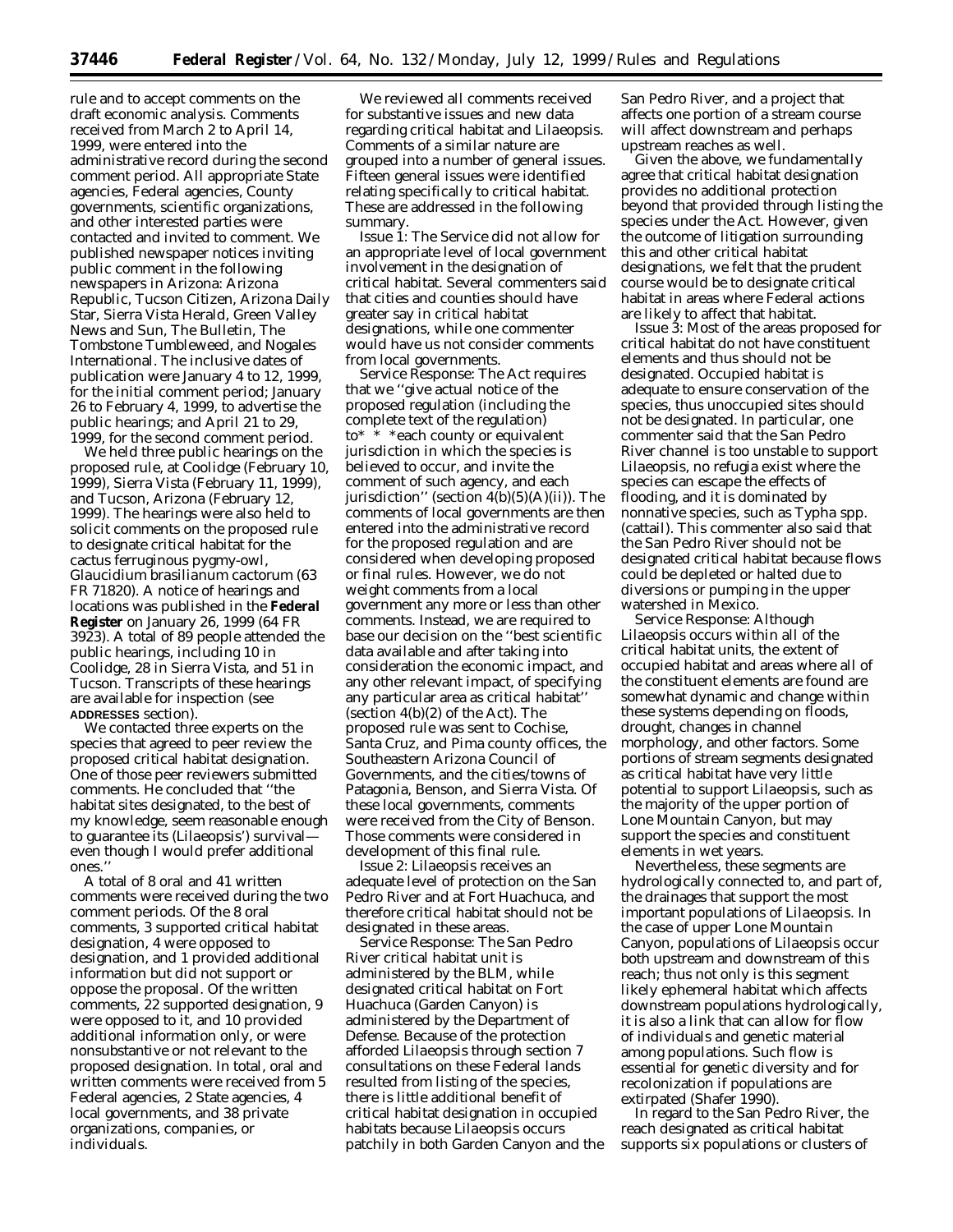rule and to accept comments on the draft economic analysis. Comments received from March 2 to April 14, 1999, were entered into the administrative record during the second comment period. All appropriate State agencies, Federal agencies, County governments, scientific organizations, and other interested parties were contacted and invited to comment. We published newspaper notices inviting public comment in the following newspapers in Arizona: Arizona Republic, Tucson Citizen, Arizona Daily Star, Sierra Vista Herald, Green Valley News and Sun, The Bulletin, The Tombstone Tumbleweed, and Nogales International. The inclusive dates of publication were January 4 to 12, 1999, for the initial comment period; January 26 to February 4, 1999, to advertise the public hearings; and April 21 to 29, 1999, for the second comment period.

We held three public hearings on the proposed rule, at Coolidge (February 10, 1999), Sierra Vista (February 11, 1999), and Tucson, Arizona (February 12, 1999). The hearings were also held to solicit comments on the proposed rule to designate critical habitat for the cactus ferruginous pygmy-owl, *Glaucidium brasilianum cactorum* (63 FR 71820). A notice of hearings and locations was published in the **Federal Register** on January 26, 1999 (64 FR 3923). A total of 89 people attended the public hearings, including 10 in Coolidge, 28 in Sierra Vista, and 51 in Tucson. Transcripts of these hearings are available for inspection (see **ADDRESSES** section).

We contacted three experts on the species that agreed to peer review the proposed critical habitat designation. One of those peer reviewers submitted comments. He concluded that ''the habitat sites designated, to the best of my knowledge, seem reasonable enough to guarantee its (*Lilaeopsis*') survival even though I would prefer additional ones.''

A total of 8 oral and 41 written comments were received during the two comment periods. Of the 8 oral comments, 3 supported critical habitat designation, 4 were opposed to designation, and 1 provided additional information but did not support or oppose the proposal. Of the written comments, 22 supported designation, 9 were opposed to it, and 10 provided additional information only, or were nonsubstantive or not relevant to the proposed designation. In total, oral and written comments were received from 5 Federal agencies, 2 State agencies, 4 local governments, and 38 private organizations, companies, or individuals.

We reviewed all comments received for substantive issues and new data regarding critical habitat and *Lilaeopsis*. Comments of a similar nature are grouped into a number of general issues. Fifteen general issues were identified relating specifically to critical habitat. These are addressed in the following summary.

*Issue 1:* The Service did not allow for an appropriate level of local government involvement in the designation of critical habitat. Several commenters said that cities and counties should have greater say in critical habitat designations, while one commenter would have us not consider comments from local governments.

*Service Response:* The Act requires that we ''give actual notice of the proposed regulation (including the complete text of the regulation) to\* \* \*each county or equivalent jurisdiction in which the species is believed to occur, and invite the comment of such agency, and each jurisdiction'' (section  $4(b)(5)(A)(ii)$ ). The comments of local governments are then entered into the administrative record for the proposed regulation and are considered when developing proposed or final rules. However, we do not weight comments from a local government any more or less than other comments. Instead, we are required to base our decision on the ''best scientific data available and after taking into consideration the economic impact, and any other relevant impact, of specifying any particular area as critical habitat'' (section 4(b)(2) of the Act). The proposed rule was sent to Cochise, Santa Cruz, and Pima county offices, the Southeastern Arizona Council of Governments, and the cities/towns of Patagonia, Benson, and Sierra Vista. Of these local governments, comments were received from the City of Benson. Those comments were considered in development of this final rule.

*Issue 2: Lilaeopsis* receives an adequate level of protection on the San Pedro River and at Fort Huachuca, and therefore critical habitat should not be designated in these areas.

*Service Response:* The San Pedro River critical habitat unit is administered by the BLM, while designated critical habitat on Fort Huachuca (Garden Canyon) is administered by the Department of Defense. Because of the protection afforded *Lilaeopsis* through section 7 consultations on these Federal lands resulted from listing of the species, there is little additional benefit of critical habitat designation in occupied habitats because *Lilaeopsis* occurs patchily in both Garden Canyon and the San Pedro River, and a project that affects one portion of a stream course will affect downstream and perhaps upstream reaches as well.

Given the above, we fundamentally agree that critical habitat designation provides no additional protection beyond that provided through listing the species under the Act. However, given the outcome of litigation surrounding this and other critical habitat designations, we felt that the prudent course would be to designate critical habitat in areas where Federal actions are likely to affect that habitat.

*Issue 3:* Most of the areas proposed for critical habitat do not have constituent elements and thus should not be designated. Occupied habitat is adequate to ensure conservation of the species, thus unoccupied sites should not be designated. In particular, one commenter said that the San Pedro River channel is too unstable to support *Lilaeopsis*, no refugia exist where the species can escape the effects of flooding, and it is dominated by nonnative species, such as *Typha* spp. (cattail). This commenter also said that the San Pedro River should not be designated critical habitat because flows could be depleted or halted due to diversions or pumping in the upper watershed in Mexico.

*Service Response:* Although *Lilaeopsis* occurs within all of the critical habitat units, the extent of occupied habitat and areas where all of the constituent elements are found are somewhat dynamic and change within these systems depending on floods, drought, changes in channel morphology, and other factors. Some portions of stream segments designated as critical habitat have very little potential to support *Lilaeopsis*, such as the majority of the upper portion of Lone Mountain Canyon, but may support the species and constituent elements in wet years.

Nevertheless, these segments are hydrologically connected to, and part of, the drainages that support the most important populations of *Lilaeopsis*. In the case of upper Lone Mountain Canyon, populations of *Lilaeopsis* occur both upstream and downstream of this reach; thus not only is this segment likely ephemeral habitat which affects downstream populations hydrologically, it is also a link that can allow for flow of individuals and genetic material among populations. Such flow is essential for genetic diversity and for recolonization if populations are extirpated (Shafer 1990).

In regard to the San Pedro River, the reach designated as critical habitat supports six populations or clusters of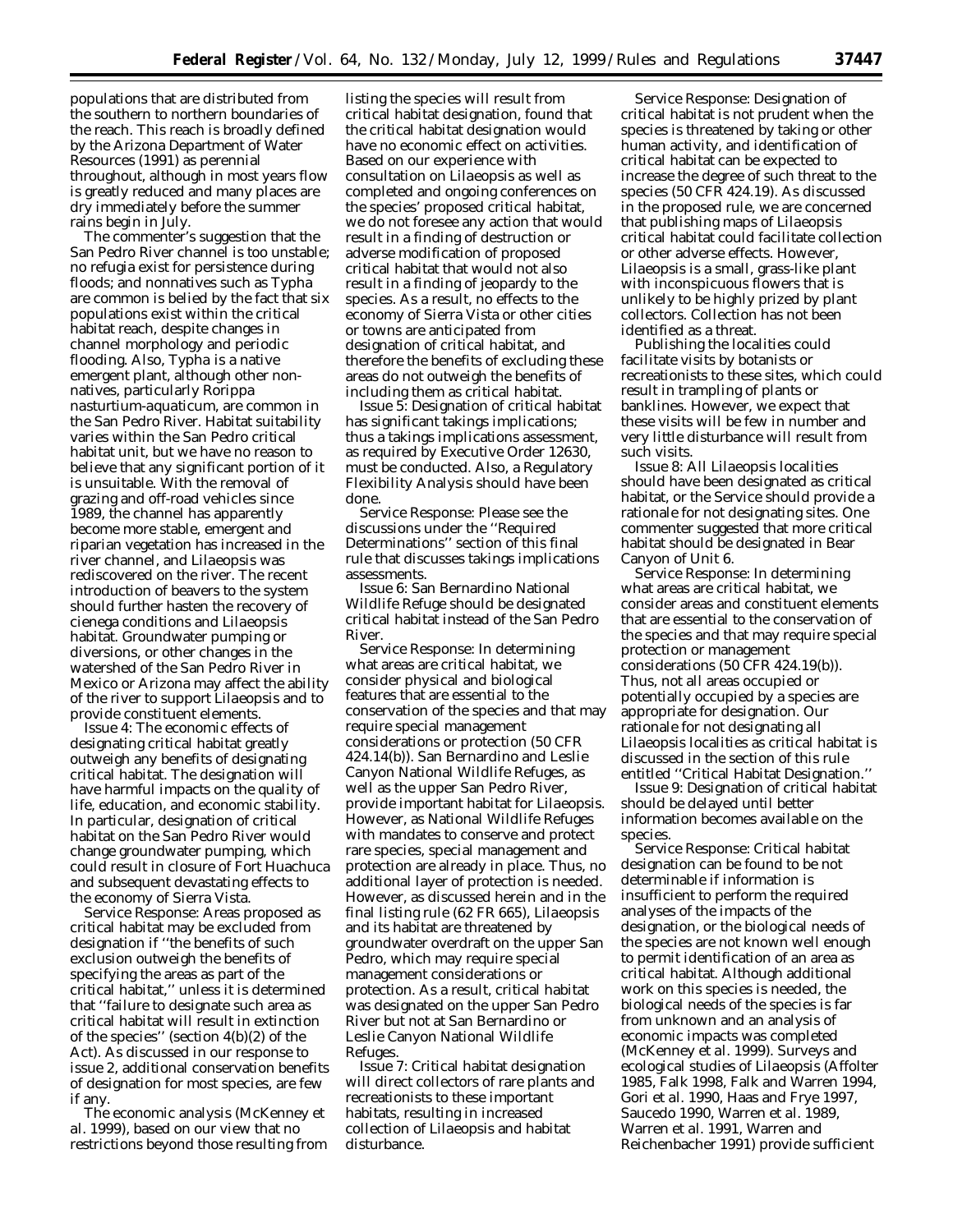populations that are distributed from the southern to northern boundaries of the reach. This reach is broadly defined by the Arizona Department of Water Resources (1991) as perennial throughout, although in most years flow is greatly reduced and many places are dry immediately before the summer rains begin in July.

The commenter's suggestion that the San Pedro River channel is too unstable; no refugia exist for persistence during floods; and nonnatives such as *Typha* are common is belied by the fact that six populations exist within the critical habitat reach, despite changes in channel morphology and periodic flooding. Also, *Typha* is a native emergent plant, although other nonnatives, particularly *Rorippa nasturtium-aquaticum*, are common in the San Pedro River. Habitat suitability varies within the San Pedro critical habitat unit, but we have no reason to believe that any significant portion of it is unsuitable. With the removal of grazing and off-road vehicles since 1989, the channel has apparently become more stable, emergent and riparian vegetation has increased in the river channel, and *Lilaeopsis* was rediscovered on the river. The recent introduction of beavers to the system should further hasten the recovery of cienega conditions and *Lilaeopsis* habitat. Groundwater pumping or diversions, or other changes in the watershed of the San Pedro River in Mexico or Arizona may affect the ability of the river to support *Lilaeopsis* and to provide constituent elements.

*Issue 4:* The economic effects of designating critical habitat greatly outweigh any benefits of designating critical habitat. The designation will have harmful impacts on the quality of life, education, and economic stability. In particular, designation of critical habitat on the San Pedro River would change groundwater pumping, which could result in closure of Fort Huachuca and subsequent devastating effects to the economy of Sierra Vista.

*Service Response:* Areas proposed as critical habitat may be excluded from designation if ''the benefits of such exclusion outweigh the benefits of specifying the areas as part of the critical habitat,'' unless it is determined that ''failure to designate such area as critical habitat will result in extinction of the species'' (section 4(b)(2) of the Act). As discussed in our response to issue 2, additional conservation benefits of designation for most species, are few if any.

The economic analysis (McKenney *et al.* 1999), based on our view that no restrictions beyond those resulting from

listing the species will result from critical habitat designation, found that the critical habitat designation would have no economic effect on activities. Based on our experience with consultation on *Lilaeopsis* as well as completed and ongoing conferences on the species' proposed critical habitat, we do not foresee any action that would result in a finding of destruction or adverse modification of proposed critical habitat that would not also result in a finding of jeopardy to the species. As a result, no effects to the economy of Sierra Vista or other cities or towns are anticipated from designation of critical habitat, and therefore the benefits of excluding these areas do not outweigh the benefits of including them as critical habitat.

*Issue 5:* Designation of critical habitat has significant takings implications; thus a takings implications assessment, as required by Executive Order 12630, must be conducted. Also, a Regulatory Flexibility Analysis should have been done.

*Service Response:* Please see the discussions under the ''Required Determinations'' section of this final rule that discusses takings implications assessments.

*Issue 6:* San Bernardino National Wildlife Refuge should be designated critical habitat instead of the San Pedro River.

*Service Response:* In determining what areas are critical habitat, we consider physical and biological features that are essential to the conservation of the species and that may require special management considerations or protection (50 CFR 424.14(b)). San Bernardino and Leslie Canyon National Wildlife Refuges, as well as the upper San Pedro River, provide important habitat for *Lilaeopsis*. However, as National Wildlife Refuges with mandates to conserve and protect rare species, special management and protection are already in place. Thus, no additional layer of protection is needed. However, as discussed herein and in the final listing rule (62 FR 665), *Lilaeopsis* and its habitat are threatened by groundwater overdraft on the upper San Pedro, which may require special management considerations or protection. As a result, critical habitat was designated on the upper San Pedro River but not at San Bernardino or Leslie Canyon National Wildlife Refuges.

*Issue 7:* Critical habitat designation will direct collectors of rare plants and recreationists to these important habitats, resulting in increased collection of *Lilaeopsis* and habitat disturbance.

*Service Response:* Designation of critical habitat is not prudent when the species is threatened by taking or other human activity, and identification of critical habitat can be expected to increase the degree of such threat to the species (50 CFR 424.19). As discussed in the proposed rule, we are concerned that publishing maps of *Lilaeopsis* critical habitat could facilitate collection or other adverse effects. However, *Lilaeopsis* is a small, grass-like plant with inconspicuous flowers that is unlikely to be highly prized by plant collectors. Collection has not been identified as a threat.

Publishing the localities could facilitate visits by botanists or recreationists to these sites, which could result in trampling of plants or banklines. However, we expect that these visits will be few in number and very little disturbance will result from such visits.

*Issue 8:* All *Lilaeopsis* localities should have been designated as critical habitat, or the Service should provide a rationale for not designating sites. One commenter suggested that more critical habitat should be designated in Bear Canyon of Unit 6.

*Service Response:* In determining what areas are critical habitat, we consider areas and constituent elements that are essential to the conservation of the species and that may require special protection or management considerations (50 CFR 424.19(b)). Thus, not all areas occupied or potentially occupied by a species are appropriate for designation. Our rationale for not designating all *Lilaeopsis* localities as critical habitat is discussed in the section of this rule entitled ''Critical Habitat Designation.''

*Issue 9:* Designation of critical habitat should be delayed until better information becomes available on the species.

*Service Response:* Critical habitat designation can be found to be not determinable if information is insufficient to perform the required analyses of the impacts of the designation, or the biological needs of the species are not known well enough to permit identification of an area as critical habitat. Although additional work on this species is needed, the biological needs of the species is far from unknown and an analysis of economic impacts was completed (McKenney *et al.* 1999). Surveys and ecological studies of *Lilaeopsis* (Affolter 1985, Falk 1998, Falk and Warren 1994, Gori *et al.* 1990, Haas and Frye 1997, Saucedo 1990, Warren *et al.* 1989, Warren *et al.* 1991, Warren and Reichenbacher 1991) provide sufficient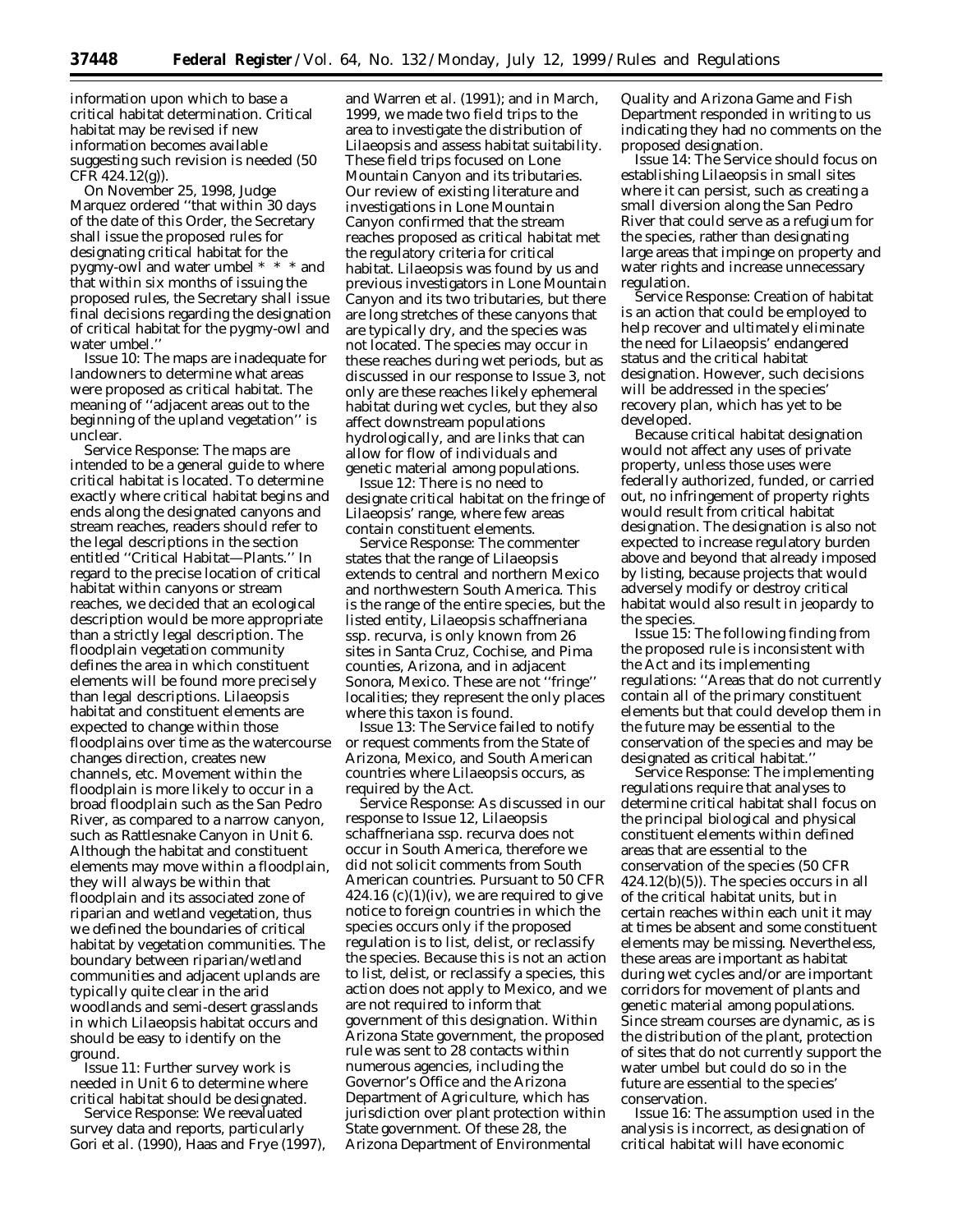information upon which to base a critical habitat determination. Critical habitat may be revised if new information becomes available suggesting such revision is needed (50  $CFR$  424.12(g)).

On November 25, 1998, Judge Marquez ordered ''that within 30 days of the date of this Order, the Secretary shall issue the proposed rules for designating critical habitat for the pygmy-owl and water umbel \* \* \* and that within six months of issuing the proposed rules, the Secretary shall issue final decisions regarding the designation of critical habitat for the pygmy-owl and water umbel.''

*Issue 10:* The maps are inadequate for landowners to determine what areas were proposed as critical habitat. The meaning of ''adjacent areas out to the beginning of the upland vegetation'' is unclear.

*Service Response:* The maps are intended to be a general guide to where critical habitat is located. To determine exactly where critical habitat begins and ends along the designated canyons and stream reaches, readers should refer to the legal descriptions in the section entitled ''Critical Habitat—Plants.'' In regard to the precise location of critical habitat within canyons or stream reaches, we decided that an ecological description would be more appropriate than a strictly legal description. The floodplain vegetation community defines the area in which constituent elements will be found more precisely than legal descriptions. *Lilaeopsis* habitat and constituent elements are expected to change within those floodplains over time as the watercourse changes direction, creates new channels, etc. Movement within the floodplain is more likely to occur in a broad floodplain such as the San Pedro River, as compared to a narrow canyon, such as Rattlesnake Canyon in Unit 6. Although the habitat and constituent elements may move within a floodplain, they will always be within that floodplain and its associated zone of riparian and wetland vegetation, thus we defined the boundaries of critical habitat by vegetation communities. The boundary between riparian/wetland communities and adjacent uplands are typically quite clear in the arid woodlands and semi-desert grasslands in which *Lilaeopsis* habitat occurs and should be easy to identify on the ground.

*Issue 11:* Further survey work is needed in Unit 6 to determine where critical habitat should be designated.

*Service Response:* We reevaluated survey data and reports, particularly Gori *et al.* (1990), Haas and Frye (1997),

and Warren *et al.* (1991); and in March, 1999, we made two field trips to the area to investigate the distribution of *Lilaeopsis* and assess habitat suitability. These field trips focused on Lone Mountain Canyon and its tributaries. Our review of existing literature and investigations in Lone Mountain Canyon confirmed that the stream reaches proposed as critical habitat met the regulatory criteria for critical habitat. *Lilaeopsis* was found by us and previous investigators in Lone Mountain Canyon and its two tributaries, but there are long stretches of these canyons that are typically dry, and the species was not located. The species may occur in these reaches during wet periods, but as discussed in our response to Issue 3, not only are these reaches likely ephemeral habitat during wet cycles, but they also affect downstream populations hydrologically, and are links that can allow for flow of individuals and genetic material among populations.

*Issue 12:* There is no need to designate critical habitat on the fringe of *Lilaeopsis'* range, where few areas contain constituent elements.

*Service Response:* The commenter states that the range of *Lilaeopsis* extends to central and northern Mexico and northwestern South America. This is the range of the entire species, but the listed entity, *Lilaeopsis schaffneriana* ssp. *recurva,* is only known from 26 sites in Santa Cruz, Cochise, and Pima counties, Arizona, and in adjacent Sonora, Mexico. These are not ''fringe'' localities; they represent the only places where this taxon is found.

*Issue 13:* The Service failed to notify or request comments from the State of Arizona, Mexico, and South American countries where *Lilaeopsis* occurs, as required by the Act.

*Service Response:* As discussed in our response to Issue 12, *Lilaeopsis schaffneriana* ssp. *recurva* does not occur in South America, therefore we did not solicit comments from South American countries. Pursuant to 50 CFR  $424.16$  (c)(1)(iv), we are required to give notice to foreign countries in which the species occurs only if the proposed regulation is to list, delist, or reclassify the species. Because this is not an action to list, delist, or reclassify a species, this action does not apply to Mexico, and we are not required to inform that government of this designation. Within Arizona State government, the proposed rule was sent to 28 contacts within numerous agencies, including the Governor's Office and the Arizona Department of Agriculture, which has jurisdiction over plant protection within State government. Of these 28, the Arizona Department of Environmental

Quality and Arizona Game and Fish Department responded in writing to us indicating they had no comments on the proposed designation.

*Issue 14:* The Service should focus on establishing *Lilaeopsis* in small sites where it can persist, such as creating a small diversion along the San Pedro River that could serve as a refugium for the species, rather than designating large areas that impinge on property and water rights and increase unnecessary regulation.

*Service Response:* Creation of habitat is an action that could be employed to help recover and ultimately eliminate the need for *Lilaeopsis*' endangered status and the critical habitat designation. However, such decisions will be addressed in the species' recovery plan, which has yet to be developed.

Because critical habitat designation would not affect any uses of private property, unless those uses were federally authorized, funded, or carried out, no infringement of property rights would result from critical habitat designation. The designation is also not expected to increase regulatory burden above and beyond that already imposed by listing, because projects that would adversely modify or destroy critical habitat would also result in jeopardy to the species.

*Issue 15:* The following finding from the proposed rule is inconsistent with the Act and its implementing regulations: ''Areas that do not currently contain all of the primary constituent elements but that could develop them in the future may be essential to the conservation of the species and may be designated as critical habitat.''

*Service Response:* The implementing regulations require that analyses to determine critical habitat shall focus on the principal biological and physical constituent elements within defined areas that are essential to the conservation of the species (50 CFR 424.12(b)(5)). The species occurs in all of the critical habitat units, but in certain reaches within each unit it may at times be absent and some constituent elements may be missing. Nevertheless, these areas are important as habitat during wet cycles and/or are important corridors for movement of plants and genetic material among populations. Since stream courses are dynamic, as is the distribution of the plant, protection of sites that do not currently support the water umbel but could do so in the future are essential to the species' conservation.

*Issue 16:* The assumption used in the analysis is incorrect, as designation of critical habitat will have economic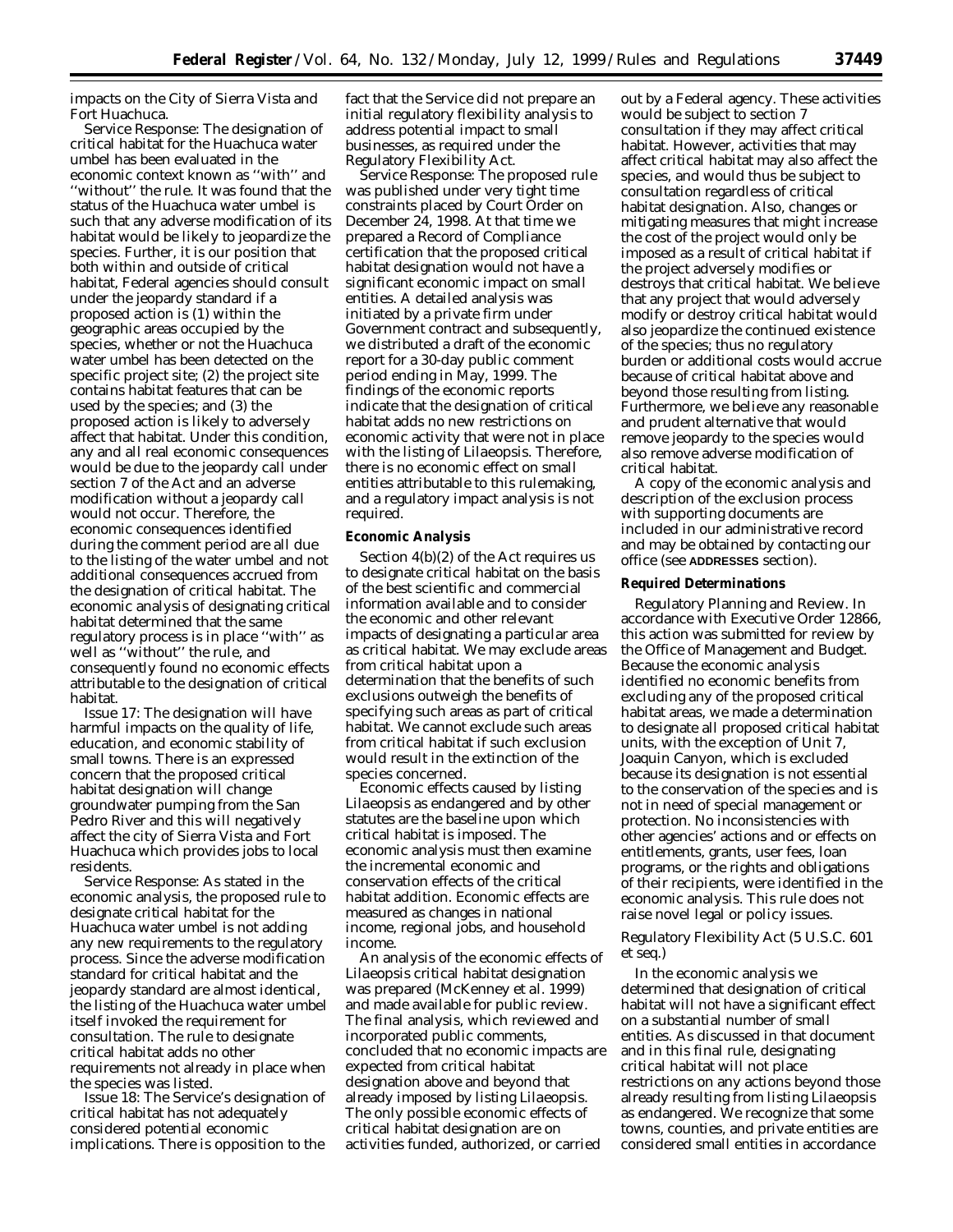impacts on the City of Sierra Vista and Fort Huachuca.

*Service Response:* The designation of critical habitat for the Huachuca water umbel has been evaluated in the economic context known as ''with'' and ''without'' the rule. It was found that the status of the Huachuca water umbel is such that any adverse modification of its habitat would be likely to jeopardize the species. Further, it is our position that both within and outside of critical habitat, Federal agencies should consult under the jeopardy standard if a proposed action is (1) within the geographic areas occupied by the species, whether or not the Huachuca water umbel has been detected on the specific project site; (2) the project site contains habitat features that can be used by the species; and (3) the proposed action is likely to adversely affect that habitat. Under this condition, any and all real economic consequences would be due to the jeopardy call under section 7 of the Act and an adverse modification without a jeopardy call would not occur. Therefore, the economic consequences identified during the comment period are all due to the listing of the water umbel and not additional consequences accrued from the designation of critical habitat. The economic analysis of designating critical habitat determined that the same regulatory process is in place ''with'' as well as ''without'' the rule, and consequently found no economic effects attributable to the designation of critical habitat.

*Issue 17:* The designation will have harmful impacts on the quality of life, education, and economic stability of small towns. There is an expressed concern that the proposed critical habitat designation will change groundwater pumping from the San Pedro River and this will negatively affect the city of Sierra Vista and Fort Huachuca which provides jobs to local residents.

*Service Response:* As stated in the economic analysis, the proposed rule to designate critical habitat for the Huachuca water umbel is not adding any new requirements to the regulatory process. Since the adverse modification standard for critical habitat and the jeopardy standard are almost identical, the listing of the Huachuca water umbel itself invoked the requirement for consultation. The rule to designate critical habitat adds no other requirements not already in place when the species was listed.

*Issue 18:* The Service's designation of critical habitat has not adequately considered potential economic implications. There is opposition to the

fact that the Service did not prepare an initial regulatory flexibility analysis to address potential impact to small businesses, as required under the Regulatory Flexibility Act.

*Service Response:* The proposed rule was published under very tight time constraints placed by Court Order on December 24, 1998. At that time we prepared a Record of Compliance certification that the proposed critical habitat designation would not have a significant economic impact on small entities. A detailed analysis was initiated by a private firm under Government contract and subsequently, we distributed a draft of the economic report for a 30-day public comment period ending in May, 1999. The findings of the economic reports indicate that the designation of critical habitat adds no new restrictions on economic activity that were not in place with the listing of *Lilaeopsis.* Therefore, there is no economic effect on small entities attributable to this rulemaking, and a regulatory impact analysis is not required.

### **Economic Analysis**

Section 4(b)(2) of the Act requires us to designate critical habitat on the basis of the best scientific and commercial information available and to consider the economic and other relevant impacts of designating a particular area as critical habitat. We may exclude areas from critical habitat upon a determination that the benefits of such exclusions outweigh the benefits of specifying such areas as part of critical habitat. We cannot exclude such areas from critical habitat if such exclusion would result in the extinction of the species concerned.

Economic effects caused by listing *Lilaeopsis* as endangered and by other statutes are the baseline upon which critical habitat is imposed. The economic analysis must then examine the incremental economic and conservation effects of the critical habitat addition. Economic effects are measured as changes in national income, regional jobs, and household income.

An analysis of the economic effects of *Lilaeopsis* critical habitat designation was prepared (McKenney *et al.* 1999) and made available for public review. The final analysis, which reviewed and incorporated public comments, concluded that no economic impacts are expected from critical habitat designation above and beyond that already imposed by listing *Lilaeopsis.* The only possible economic effects of critical habitat designation are on activities funded, authorized, or carried

out by a Federal agency. These activities would be subject to section 7 consultation if they may affect critical habitat. However, activities that may affect critical habitat may also affect the species, and would thus be subject to consultation regardless of critical habitat designation. Also, changes or mitigating measures that might increase the cost of the project would only be imposed as a result of critical habitat if the project adversely modifies or destroys that critical habitat. We believe that any project that would adversely modify or destroy critical habitat would also jeopardize the continued existence of the species; thus no regulatory burden or additional costs would accrue because of critical habitat above and beyond those resulting from listing. Furthermore, we believe any reasonable and prudent alternative that would remove jeopardy to the species would also remove adverse modification of critical habitat.

A copy of the economic analysis and description of the exclusion process with supporting documents are included in our administrative record and may be obtained by contacting our office (see **ADDRESSES** section).

### **Required Determinations**

Regulatory Planning and Review. In accordance with Executive Order 12866, this action was submitted for review by the Office of Management and Budget. Because the economic analysis identified no economic benefits from excluding any of the proposed critical habitat areas, we made a determination to designate all proposed critical habitat units, with the exception of Unit 7, Joaquin Canyon, which is excluded because its designation is not essential to the conservation of the species and is not in need of special management or protection. No inconsistencies with other agencies' actions and or effects on entitlements, grants, user fees, loan programs, or the rights and obligations of their recipients, were identified in the economic analysis. This rule does not raise novel legal or policy issues.

## *Regulatory Flexibility Act (5 U.S.C. 601 et seq.*)

In the economic analysis we determined that designation of critical habitat will not have a significant effect on a substantial number of small entities. As discussed in that document and in this final rule, designating critical habitat will not place restrictions on any actions beyond those already resulting from listing *Lilaeopsis* as endangered. We recognize that some towns, counties, and private entities are considered small entities in accordance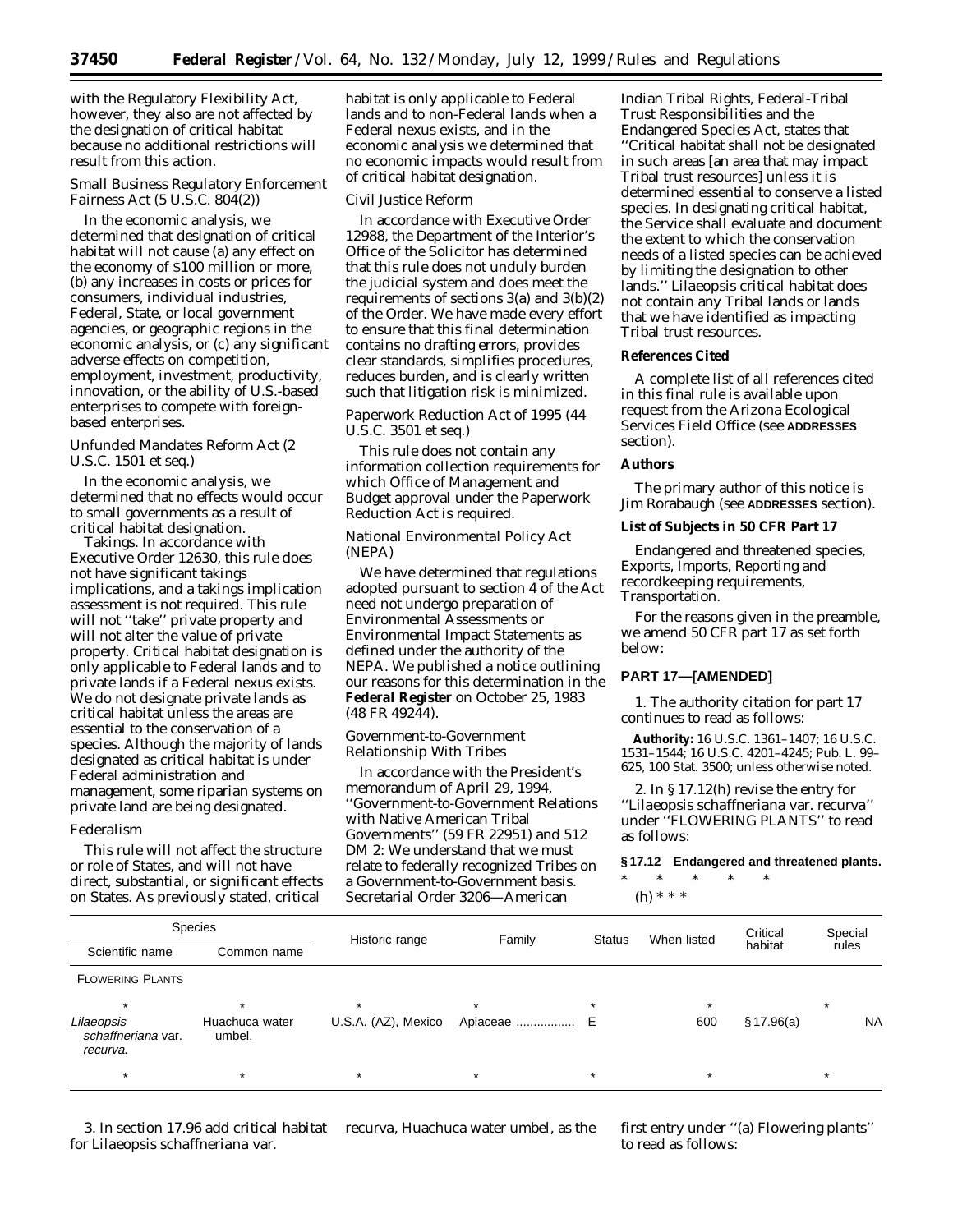with the Regulatory Flexibility Act, however, they also are not affected by the designation of critical habitat because no additional restrictions will result from this action.

### *Small Business Regulatory Enforcement Fairness Act (5 U.S.C. 804(2))*

In the economic analysis, we determined that designation of critical habitat will not cause (a) any effect on the economy of \$100 million or more, (b) any increases in costs or prices for consumers, individual industries, Federal, State, or local government agencies, or geographic regions in the economic analysis, or (c) any significant adverse effects on competition, employment, investment, productivity, innovation, or the ability of U.S.-based enterprises to compete with foreignbased enterprises.

### *Unfunded Mandates Reform Act (2 U.S.C. 1501 et seq.*)

In the economic analysis, we determined that no effects would occur to small governments as a result of critical habitat designation.

Takings. In accordance with Executive Order 12630, this rule does not have significant takings implications, and a takings implication assessment is not required. This rule will not ''take'' private property and will not alter the value of private property. Critical habitat designation is only applicable to Federal lands and to private lands if a Federal nexus exists. We do not designate private lands as critical habitat unless the areas are essential to the conservation of a species. Although the majority of lands designated as critical habitat is under Federal administration and management, some riparian systems on private land are being designated.

### *Federalism*

This rule will not affect the structure or role of States, and will not have direct, substantial, or significant effects on States. As previously stated, critical

habitat is only applicable to Federal lands and to non-Federal lands when a Federal nexus exists, and in the economic analysis we determined that no economic impacts would result from of critical habitat designation.

#### *Civil Justice Reform*

In accordance with Executive Order 12988, the Department of the Interior's Office of the Solicitor has determined that this rule does not unduly burden the judicial system and does meet the requirements of sections 3(a) and 3(b)(2) of the Order. We have made every effort to ensure that this final determination contains no drafting errors, provides clear standards, simplifies procedures, reduces burden, and is clearly written such that litigation risk is minimized.

### *Paperwork Reduction Act of 1995 (44 U.S.C. 3501 et seq.*)

This rule does not contain any information collection requirements for which Office of Management and Budget approval under the Paperwork Reduction Act is required.

### *National Environmental Policy Act (NEPA)*

We have determined that regulations adopted pursuant to section 4 of the Act need not undergo preparation of Environmental Assessments or Environmental Impact Statements as defined under the authority of the NEPA. We published a notice outlining our reasons for this determination in the **Federal Register** on October 25, 1983 (48 FR 49244).

### *Government-to-Government Relationship With Tribes*

In accordance with the President's memorandum of April 29, 1994, ''Government-to-Government Relations with Native American Tribal Governments'' (59 FR 22951) and 512 DM 2: We understand that we must relate to federally recognized Tribes on a Government-to-Government basis. Secretarial Order 3206—American

Indian Tribal Rights, Federal-Tribal Trust Responsibilities and the Endangered Species Act, states that ''Critical habitat shall not be designated in such areas [an area that may impact Tribal trust resources] unless it is determined essential to conserve a listed species. In designating critical habitat, the Service shall evaluate and document the extent to which the conservation needs of a listed species can be achieved by limiting the designation to other lands.'' *Lilaeopsis* critical habitat does not contain any Tribal lands or lands that we have identified as impacting Tribal trust resources.

## **References Cited**

A complete list of all references cited in this final rule is available upon request from the Arizona Ecological Services Field Office (see **ADDRESSES** section).

## **Authors**

The primary author of this notice is Jim Rorabaugh (see **ADDRESSES** section).

### **List of Subjects in 50 CFR Part 17**

Endangered and threatened species, Exports, Imports, Reporting and recordkeeping requirements, Transportation.

For the reasons given in the preamble, we amend 50 CFR part 17 as set forth below:

### **PART 17—[AMENDED]**

1. The authority citation for part 17 continues to read as follows:

**Authority:** 16 U.S.C. 1361–1407; 16 U.S.C. 1531–1544; 16 U.S.C. 4201–4245; Pub. L. 99– 625, 100 Stat. 3500; unless otherwise noted.

2. In § 17.12(h) revise the entry for ''*Lilaeopsis schaffneriana* var. *recurva*'' under ''FLOWERING PLANTS'' to read as follows:

**§ 17.12 Endangered and threatened plants.**

\* \* \* \* \* (h) \* \* \*

Species Historic range **Family** Status When listed Critical habitat Special<br>rules Scientific name Common name Thistoric range Thannity Status Wilen isted habitat rules FLOWERING PLANTS \* \* \* \* \* \* \* Lilaeopsis schaffneriana var. recurva. Huachuca water umbel. U.S.A. (AZ), Mexico Apiaceae ................. E 600 § 17.96(a) NA \* \* \* \* \* \* \*

3. In section 17.96 add critical habitat for *Lilaeopsis schaffneriana* var.

*recurva*, Huachuca water umbel, as the first entry under "(a) Flowering plants" to read as follows: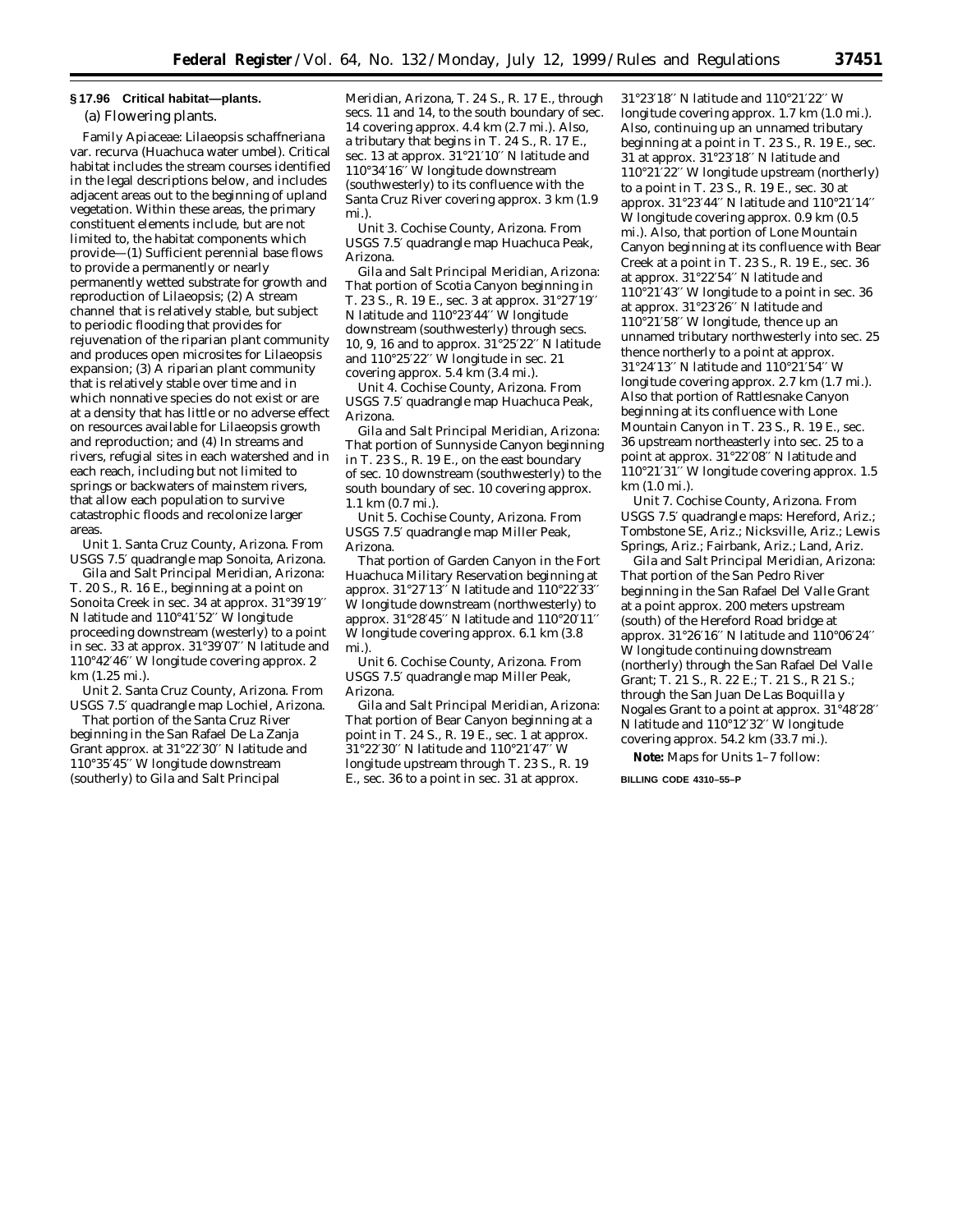### **§ 17.96 Critical habitat—plants.**

(a) Flowering plants.

Family Apiaceae: *Lilaeopsis schaffneriana* var. *recurva* (Huachuca water umbel). Critical habitat includes the stream courses identified in the legal descriptions below, and includes adjacent areas out to the beginning of upland vegetation. Within these areas, the primary constituent elements include, but are not limited to, the habitat components which provide—(1) Sufficient perennial base flows to provide a permanently or nearly permanently wetted substrate for growth and reproduction of *Lilaeopsis;* (2) A stream channel that is relatively stable, but subject to periodic flooding that provides for rejuvenation of the riparian plant community and produces open microsites for *Lilaeopsis* expansion; (3) A riparian plant community that is relatively stable over time and in which nonnative species do not exist or are at a density that has little or no adverse effect on resources available for *Lilaeopsis* growth and reproduction; and (4) In streams and rivers, refugial sites in each watershed and in each reach, including but not limited to springs or backwaters of mainstem rivers, that allow each population to survive catastrophic floods and recolonize larger areas.

Unit 1. Santa Cruz County, Arizona. From USGS 7.5′ quadrangle map Sonoita, Arizona.

Gila and Salt Principal Meridian, Arizona: T. 20 S., R. 16 E., beginning at a point on Sonoita Creek in sec. 34 at approx. 31°39′19′′ N latitude and 110°41′52′′ W longitude proceeding downstream (westerly) to a point in sec. 33 at approx. 31°39′07′′ N latitude and 110°42′46′′ W longitude covering approx. 2 km (1.25 mi.).

Unit 2. Santa Cruz County, Arizona. From USGS 7.5′ quadrangle map Lochiel, Arizona.

That portion of the Santa Cruz River beginning in the San Rafael De La Zanja Grant approx. at 31°22′30′′ N latitude and 110°35′45′′ W longitude downstream (southerly) to Gila and Salt Principal

Meridian, Arizona, T. 24 S., R. 17 E., through secs. 11 and 14, to the south boundary of sec. 14 covering approx. 4.4 km (2.7 mi.). Also, a tributary that begins in T. 24 S., R. 17 E., sec. 13 at approx. 31°21′10′′ N latitude and 110°34′16′′ W longitude downstream (southwesterly) to its confluence with the Santa Cruz River covering approx. 3 km (1.9 mi.).

Unit 3. Cochise County, Arizona. From USGS 7.5′ quadrangle map Huachuca Peak, Arizona.

Gila and Salt Principal Meridian, Arizona: That portion of Scotia Canyon beginning in T. 23 S., R. 19 E., sec. 3 at approx. 31°27′19′′ N latitude and 110°23′44′′ W longitude downstream (southwesterly) through secs. 10, 9, 16 and to approx. 31°25′22′′ N latitude and  $110°25'22''$  W longitude in sec. 21 covering approx. 5.4 km (3.4 mi.).

Unit 4. Cochise County, Arizona. From USGS 7.5′ quadrangle map Huachuca Peak, Arizona.

Gila and Salt Principal Meridian, Arizona: That portion of Sunnyside Canyon beginning in T. 23 S., R. 19 E., on the east boundary of sec. 10 downstream (southwesterly) to the south boundary of sec. 10 covering approx. 1.1 km (0.7 mi.).

Unit 5. Cochise County, Arizona. From USGS 7.5′ quadrangle map Miller Peak, Arizona.

That portion of Garden Canyon in the Fort Huachuca Military Reservation beginning at approx. 31°27′13′′ N latitude and 110°22′33′′ W longitude downstream (northwesterly) to approx. 31°28′45′′ N latitude and 110°20′11′′ W longitude covering approx. 6.1 km (3.8 mi.).

Unit 6. Cochise County, Arizona. From USGS 7.5′ quadrangle map Miller Peak, Arizona.

Gila and Salt Principal Meridian, Arizona: That portion of Bear Canyon beginning at a point in T. 24 S., R. 19 E., sec. 1 at approx. 31°22′30′′ N latitude and 110°21′47′′ W longitude upstream through T. 23 S., R. 19 E., sec. 36 to a point in sec. 31 at approx.

31°23′18′′ N latitude and 110°21′22′′ W longitude covering approx. 1.7 km (1.0 mi.). Also, continuing up an unnamed tributary beginning at a point in T. 23 S., R. 19 E., sec. 31 at approx. 31°23′18′′ N latitude and 110°21′22′′ W longitude upstream (northerly) to a point in T. 23 S., R. 19 E., sec. 30 at approx. 31°23′44′′ N latitude and 110°21′14′′ W longitude covering approx. 0.9 km (0.5 mi.). Also, that portion of Lone Mountain Canyon beginning at its confluence with Bear Creek at a point in T. 23 S., R. 19 E., sec. 36 at approx. 31°22′54′′ N latitude and  $110^{\circ}$ 21'43" W longitude to a point in sec. 36 at approx. 31°23′26′′ N latitude and 110°21′58′′ W longitude, thence up an unnamed tributary northwesterly into sec. 25 thence northerly to a point at approx. 31°24′13′′ N latitude and 110°21′54′′ W longitude covering approx. 2.7 km (1.7 mi.). Also that portion of Rattlesnake Canyon beginning at its confluence with Lone Mountain Canyon in T. 23 S., R. 19 E., sec. 36 upstream northeasterly into sec. 25 to a point at approx. 31°22′08′′ N latitude and 110°21′31′′ W longitude covering approx. 1.5 km (1.0 mi.).

Unit 7. Cochise County, Arizona. From USGS 7.5′ quadrangle maps: Hereford, Ariz.; Tombstone SE, Ariz.; Nicksville, Ariz.; Lewis Springs, Ariz.; Fairbank, Ariz.; Land, Ariz.

Gila and Salt Principal Meridian, Arizona: That portion of the San Pedro River beginning in the San Rafael Del Valle Grant at a point approx. 200 meters upstream (south) of the Hereford Road bridge at approx. 31°26′16′′ N latitude and 110°06′24′′ W longitude continuing downstream (northerly) through the San Rafael Del Valle Grant; T. 21 S., R. 22 E.; T. 21 S., R 21 S.; through the San Juan De Las Boquilla y Nogales Grant to a point at approx. 31°48′28′′ N latitude and 110°12′32′′ W longitude covering approx. 54.2 km (33.7 mi.).

**Note:** Maps for Units 1–7 follow:

**BILLING CODE 4310–55–P**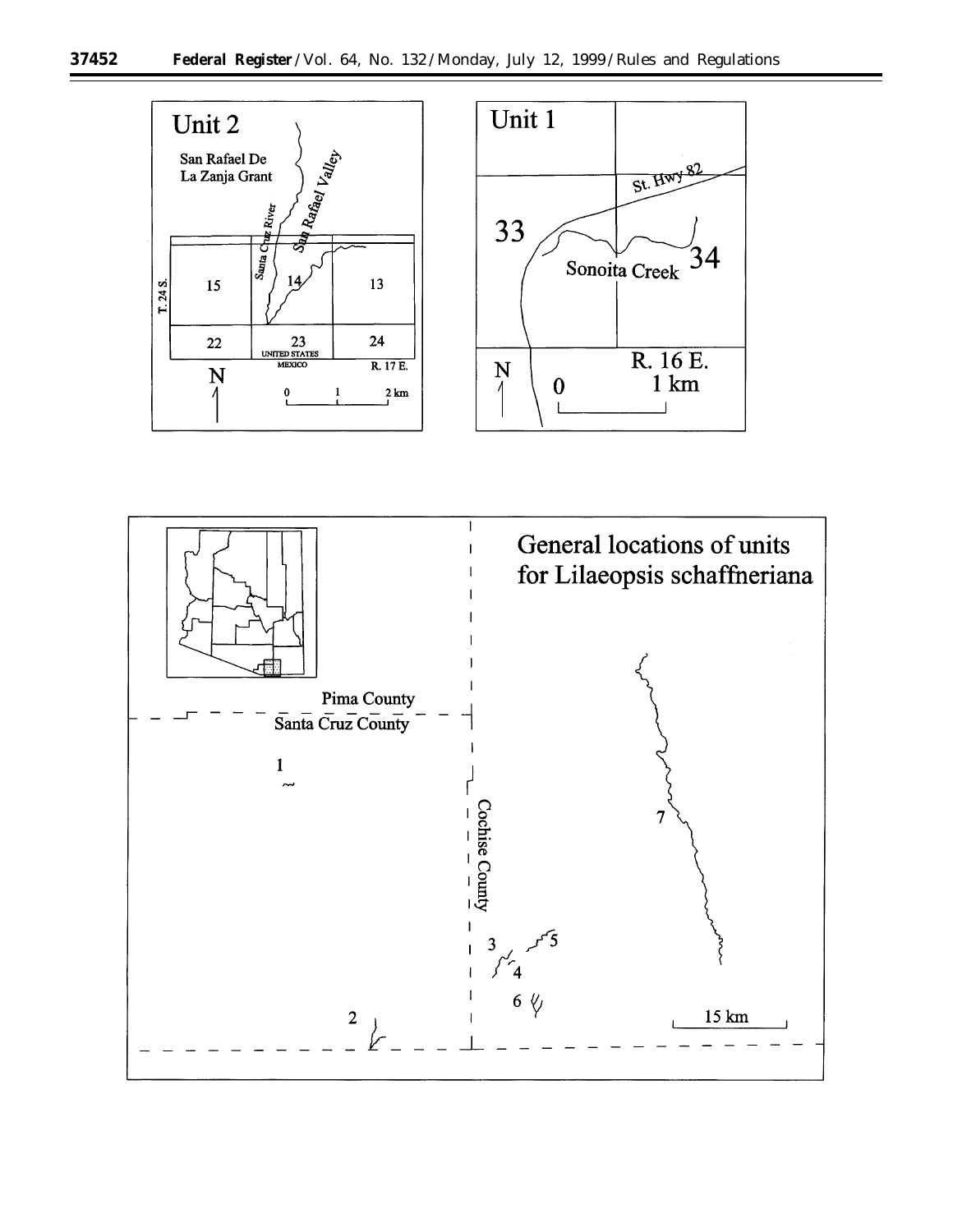